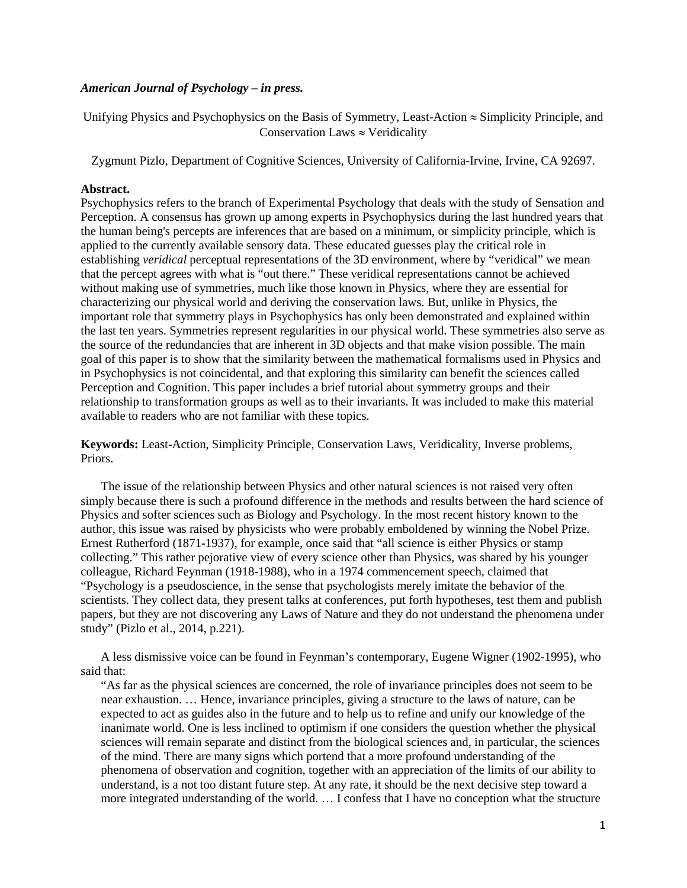## *American Journal of Psychology – in press.*

Unifying Physics and Psychophysics on the Basis of Symmetry, Least-Action ≈ Simplicity Principle, and Conservation Laws  $\approx$  Veridicality

Zygmunt Pizlo, Department of Cognitive Sciences, University of California-Irvine, Irvine, CA 92697.

### **Abstract.**

Psychophysics refers to the branch of Experimental Psychology that deals with the study of Sensation and Perception. A consensus has grown up among experts in Psychophysics during the last hundred years that the human being's percepts are inferences that are based on a minimum, or simplicity principle, which is applied to the currently available sensory data. These educated guesses play the critical role in establishing *veridical* perceptual representations of the 3D environment, where by "veridical" we mean that the percept agrees with what is "out there." These veridical representations cannot be achieved without making use of symmetries, much like those known in Physics, where they are essential for characterizing our physical world and deriving the conservation laws. But, unlike in Physics, the important role that symmetry plays in Psychophysics has only been demonstrated and explained within the last ten years. Symmetries represent regularities in our physical world. These symmetries also serve as the source of the redundancies that are inherent in 3D objects and that make vision possible. The main goal of this paper is to show that the similarity between the mathematical formalisms used in Physics and in Psychophysics is not coincidental, and that exploring this similarity can benefit the sciences called Perception and Cognition. This paper includes a brief tutorial about symmetry groups and their relationship to transformation groups as well as to their invariants. It was included to make this material available to readers who are not familiar with these topics.

**Keywords:** Least-Action, Simplicity Principle, Conservation Laws, Veridicality, Inverse problems, Priors.

The issue of the relationship between Physics and other natural sciences is not raised very often simply because there is such a profound difference in the methods and results between the hard science of Physics and softer sciences such as Biology and Psychology. In the most recent history known to the author, this issue was raised by physicists who were probably emboldened by winning the Nobel Prize. Ernest Rutherford (1871-1937), for example, once said that "all science is either Physics or stamp collecting." This rather pejorative view of every science other than Physics, was shared by his younger colleague, Richard Feynman (1918-1988), who in a 1974 commencement speech, claimed that "Psychology is a pseudoscience, in the sense that psychologists merely imitate the behavior of the scientists. They collect data, they present talks at conferences, put forth hypotheses, test them and publish papers, but they are not discovering any Laws of Nature and they do not understand the phenomena under study" (Pizlo et al., 2014, p.221).

A less dismissive voice can be found in Feynman's contemporary, Eugene Wigner (1902-1995), who said that:

"As far as the physical sciences are concerned, the role of invariance principles does not seem to be near exhaustion. … Hence, invariance principles, giving a structure to the laws of nature, can be expected to act as guides also in the future and to help us to refine and unify our knowledge of the inanimate world. One is less inclined to optimism if one considers the question whether the physical sciences will remain separate and distinct from the biological sciences and, in particular, the sciences of the mind. There are many signs which portend that a more profound understanding of the phenomena of observation and cognition, together with an appreciation of the limits of our ability to understand, is a not too distant future step. At any rate, it should be the next decisive step toward a more integrated understanding of the world. … I confess that I have no conception what the structure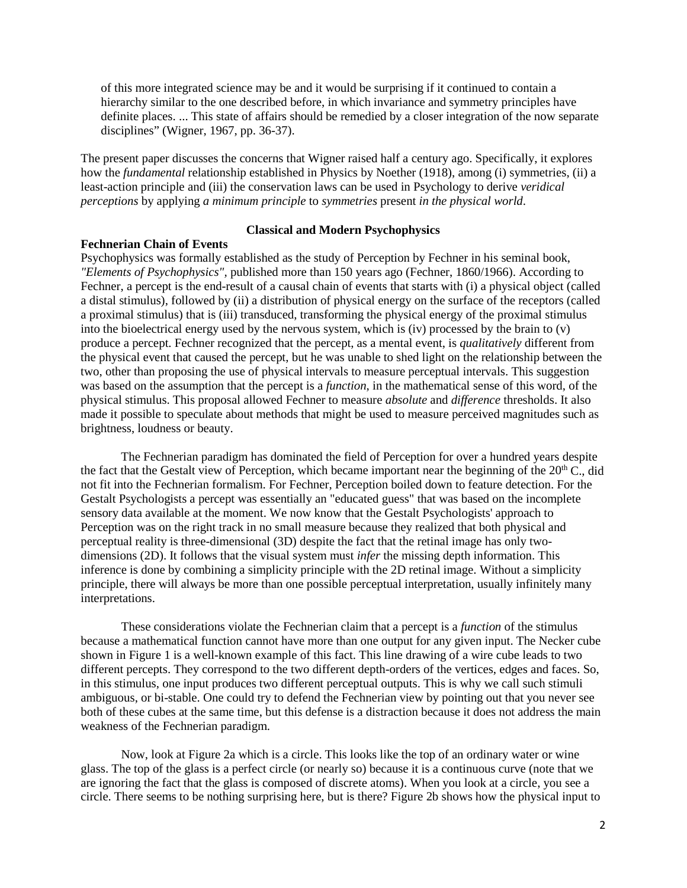of this more integrated science may be and it would be surprising if it continued to contain a hierarchy similar to the one described before, in which invariance and symmetry principles have definite places. ... This state of affairs should be remedied by a closer integration of the now separate disciplines" (Wigner, 1967, pp. 36-37).

The present paper discusses the concerns that Wigner raised half a century ago. Specifically, it explores how the *fundamental* relationship established in Physics by Noether (1918), among (i) symmetries, (ii) a least-action principle and (iii) the conservation laws can be used in Psychology to derive *veridical perceptions* by applying *a minimum principle* to *symmetries* present *in the physical world*.

# **Fechnerian Chain of Events**

# **Classical and Modern Psychophysics**

Psychophysics was formally established as the study of Perception by Fechner in his seminal book, *"Elements of Psychophysics",* published more than 150 years ago (Fechner, 1860/1966). According to Fechner, a percept is the end-result of a causal chain of events that starts with (i) a physical object (called a distal stimulus), followed by (ii) a distribution of physical energy on the surface of the receptors (called a proximal stimulus) that is (iii) transduced, transforming the physical energy of the proximal stimulus into the bioelectrical energy used by the nervous system, which is (iv) processed by the brain to  $(v)$ produce a percept. Fechner recognized that the percept, as a mental event, is *qualitatively* different from the physical event that caused the percept, but he was unable to shed light on the relationship between the two, other than proposing the use of physical intervals to measure perceptual intervals. This suggestion was based on the assumption that the percept is a *function*, in the mathematical sense of this word, of the physical stimulus. This proposal allowed Fechner to measure *absolute* and *difference* thresholds. It also made it possible to speculate about methods that might be used to measure perceived magnitudes such as brightness, loudness or beauty.

The Fechnerian paradigm has dominated the field of Perception for over a hundred years despite the fact that the Gestalt view of Perception, which became important near the beginning of the  $20<sup>th</sup>$ C., did not fit into the Fechnerian formalism. For Fechner, Perception boiled down to feature detection. For the Gestalt Psychologists a percept was essentially an "educated guess" that was based on the incomplete sensory data available at the moment. We now know that the Gestalt Psychologists' approach to Perception was on the right track in no small measure because they realized that both physical and perceptual reality is three-dimensional (3D) despite the fact that the retinal image has only twodimensions (2D). It follows that the visual system must *infer* the missing depth information. This inference is done by combining a simplicity principle with the 2D retinal image. Without a simplicity principle, there will always be more than one possible perceptual interpretation, usually infinitely many interpretations.

These considerations violate the Fechnerian claim that a percept is a *function* of the stimulus because a mathematical function cannot have more than one output for any given input. The Necker cube shown in Figure 1 is a well-known example of this fact. This line drawing of a wire cube leads to two different percepts. They correspond to the two different depth-orders of the vertices, edges and faces. So, in this stimulus, one input produces two different perceptual outputs. This is why we call such stimuli ambiguous, or bi-stable. One could try to defend the Fechnerian view by pointing out that you never see both of these cubes at the same time, but this defense is a distraction because it does not address the main weakness of the Fechnerian paradigm.

Now, look at Figure 2a which is a circle. This looks like the top of an ordinary water or wine glass. The top of the glass is a perfect circle (or nearly so) because it is a continuous curve (note that we are ignoring the fact that the glass is composed of discrete atoms). When you look at a circle, you see a circle. There seems to be nothing surprising here, but is there? Figure 2b shows how the physical input to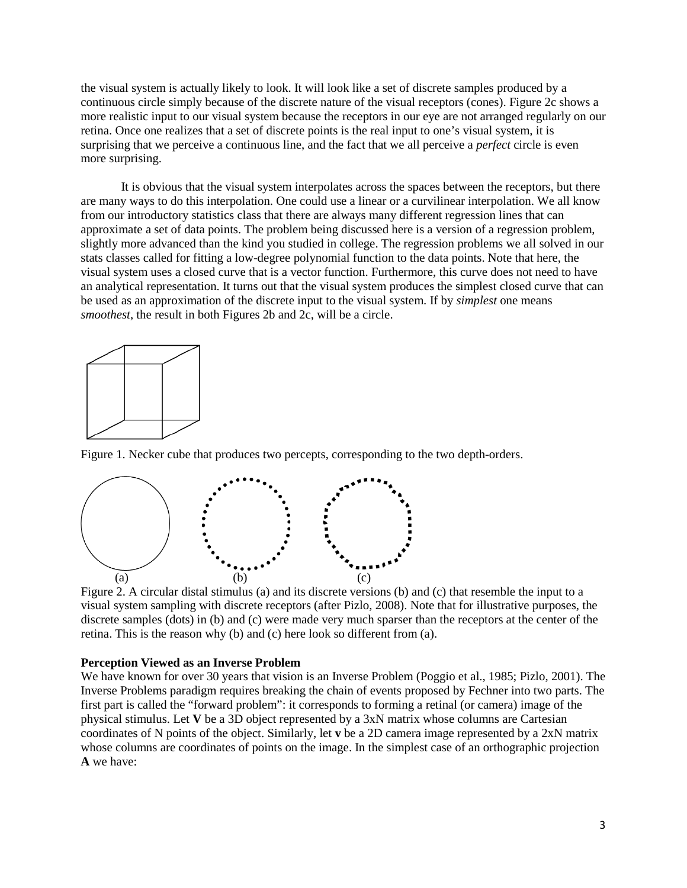the visual system is actually likely to look. It will look like a set of discrete samples produced by a continuous circle simply because of the discrete nature of the visual receptors (cones). Figure 2c shows a more realistic input to our visual system because the receptors in our eye are not arranged regularly on our retina. Once one realizes that a set of discrete points is the real input to one's visual system, it is surprising that we perceive a continuous line, and the fact that we all perceive a *perfect* circle is even more surprising.

It is obvious that the visual system interpolates across the spaces between the receptors, but there are many ways to do this interpolation. One could use a linear or a curvilinear interpolation. We all know from our introductory statistics class that there are always many different regression lines that can approximate a set of data points. The problem being discussed here is a version of a regression problem, slightly more advanced than the kind you studied in college. The regression problems we all solved in our stats classes called for fitting a low-degree polynomial function to the data points. Note that here, the visual system uses a closed curve that is a vector function. Furthermore, this curve does not need to have an analytical representation. It turns out that the visual system produces the simplest closed curve that can be used as an approximation of the discrete input to the visual system. If by *simplest* one means *smoothest*, the result in both Figures 2b and 2c, will be a circle.



Figure 1. Necker cube that produces two percepts, corresponding to the two depth-orders.



Figure 2. A circular distal stimulus (a) and its discrete versions (b) and (c) that resemble the input to a visual system sampling with discrete receptors (after Pizlo, 2008). Note that for illustrative purposes, the discrete samples (dots) in (b) and (c) were made very much sparser than the receptors at the center of the retina. This is the reason why (b) and (c) here look so different from (a).

## **Perception Viewed as an Inverse Problem**

We have known for over 30 years that vision is an Inverse Problem (Poggio et al., 1985; Pizlo, 2001). The Inverse Problems paradigm requires breaking the chain of events proposed by Fechner into two parts. The first part is called the "forward problem": it corresponds to forming a retinal (or camera) image of the physical stimulus. Let **V** be a 3D object represented by a 3xN matrix whose columns are Cartesian coordinates of N points of the object. Similarly, let **v** be a 2D camera image represented by a 2xN matrix whose columns are coordinates of points on the image. In the simplest case of an orthographic projection **A** we have: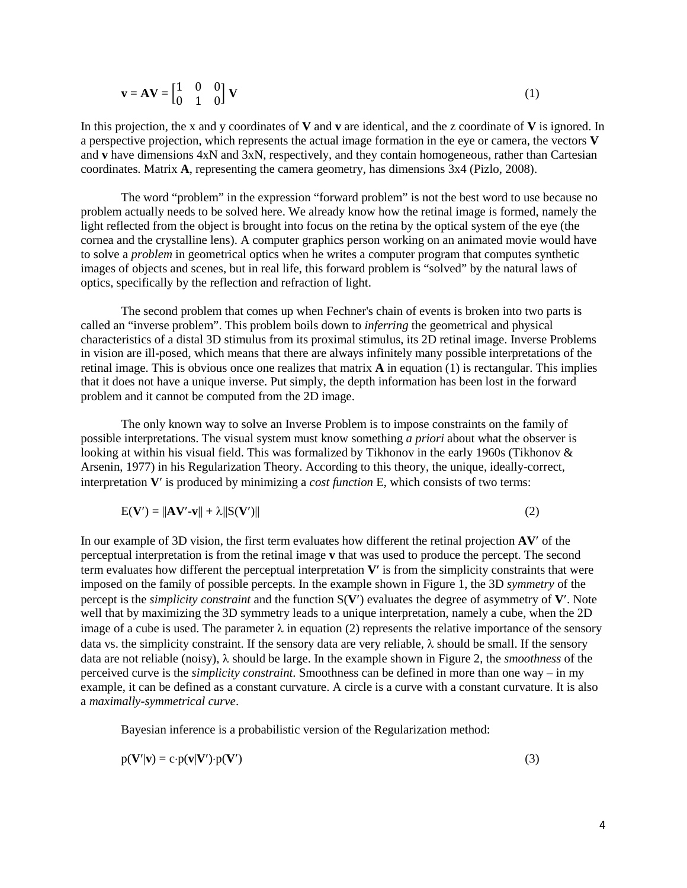$$
\mathbf{v} = \mathbf{A}\mathbf{V} = \begin{bmatrix} 1 & 0 & 0 \\ 0 & 1 & 0 \end{bmatrix} \mathbf{V}
$$
 (1)

In this projection, the x and y coordinates of **V** and **v** are identical, and the z coordinate of **V** is ignored. In a perspective projection, which represents the actual image formation in the eye or camera, the vectors **V** and **v** have dimensions 4xN and 3xN, respectively, and they contain homogeneous, rather than Cartesian coordinates. Matrix **A**, representing the camera geometry, has dimensions 3x4 (Pizlo, 2008).

The word "problem" in the expression "forward problem" is not the best word to use because no problem actually needs to be solved here. We already know how the retinal image is formed, namely the light reflected from the object is brought into focus on the retina by the optical system of the eye (the cornea and the crystalline lens). A computer graphics person working on an animated movie would have to solve a *problem* in geometrical optics when he writes a computer program that computes synthetic images of objects and scenes, but in real life, this forward problem is "solved" by the natural laws of optics, specifically by the reflection and refraction of light.

The second problem that comes up when Fechner's chain of events is broken into two parts is called an "inverse problem". This problem boils down to *inferring* the geometrical and physical characteristics of a distal 3D stimulus from its proximal stimulus, its 2D retinal image. Inverse Problems in vision are ill-posed, which means that there are always infinitely many possible interpretations of the retinal image. This is obvious once one realizes that matrix **A** in equation (1) is rectangular. This implies that it does not have a unique inverse. Put simply, the depth information has been lost in the forward problem and it cannot be computed from the 2D image.

The only known way to solve an Inverse Problem is to impose constraints on the family of possible interpretations. The visual system must know something *a priori* about what the observer is looking at within his visual field. This was formalized by Tikhonov in the early 1960s (Tikhonov & Arsenin, 1977) in his Regularization Theory. According to this theory, the unique, ideally-correct, interpretation **V**′ is produced by minimizing a *cost function* E, which consists of two terms:

$$
E(V') = ||AV'-v|| + \lambda ||S(V')|| \tag{2}
$$

In our example of 3D vision, the first term evaluates how different the retinal projection **AV**′ of the perceptual interpretation is from the retinal image **v** that was used to produce the percept. The second term evaluates how different the perceptual interpretation **V**′ is from the simplicity constraints that were imposed on the family of possible percepts. In the example shown in Figure 1, the 3D *symmetry* of the percept is the *simplicity constraint* and the function S(**V**′) evaluates the degree of asymmetry of **V**′. Note well that by maximizing the 3D symmetry leads to a unique interpretation, namely a cube, when the 2D image of a cube is used. The parameter  $\lambda$  in equation (2) represents the relative importance of the sensory data vs. the simplicity constraint. If the sensory data are very reliable,  $\lambda$  should be small. If the sensory data are not reliable (noisy), λ should be large. In the example shown in Figure 2, the *smoothness* of the perceived curve is the *simplicity constraint*. Smoothness can be defined in more than one way – in my example, it can be defined as a constant curvature. A circle is a curve with a constant curvature. It is also a *maximally-symmetrical curve*.

Bayesian inference is a probabilistic version of the Regularization method:

$$
p(\mathbf{V}'|\mathbf{v}) = c \cdot p(\mathbf{v}|\mathbf{V}') \cdot p(\mathbf{V}') \tag{3}
$$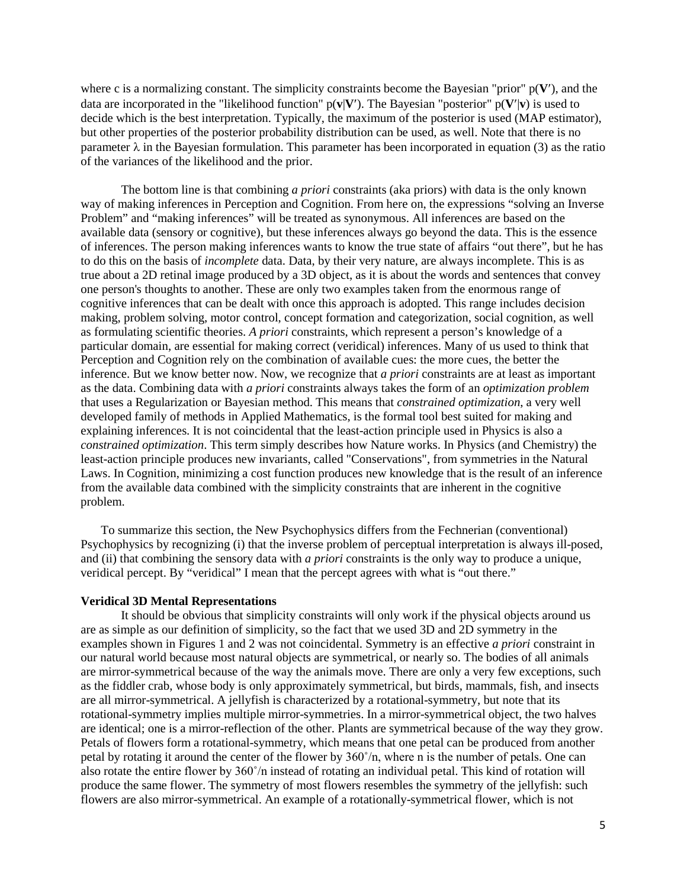where c is a normalizing constant. The simplicity constraints become the Bayesian "prior" p(**V**′), and the data are incorporated in the "likelihood function"  $p(\mathbf{v}|\mathbf{V})$ . The Bayesian "posterior"  $p(\mathbf{V}|\mathbf{v})$  is used to decide which is the best interpretation. Typically, the maximum of the posterior is used (MAP estimator), but other properties of the posterior probability distribution can be used, as well. Note that there is no parameter  $\lambda$  in the Bayesian formulation. This parameter has been incorporated in equation (3) as the ratio of the variances of the likelihood and the prior.

The bottom line is that combining *a priori* constraints (aka priors) with data is the only known way of making inferences in Perception and Cognition. From here on, the expressions "solving an Inverse Problem" and "making inferences" will be treated as synonymous. All inferences are based on the available data (sensory or cognitive), but these inferences always go beyond the data. This is the essence of inferences. The person making inferences wants to know the true state of affairs "out there", but he has to do this on the basis of *incomplete* data. Data, by their very nature, are always incomplete. This is as true about a 2D retinal image produced by a 3D object, as it is about the words and sentences that convey one person's thoughts to another. These are only two examples taken from the enormous range of cognitive inferences that can be dealt with once this approach is adopted. This range includes decision making, problem solving, motor control, concept formation and categorization, social cognition, as well as formulating scientific theories. *A priori* constraints, which represent a person's knowledge of a particular domain, are essential for making correct (veridical) inferences. Many of us used to think that Perception and Cognition rely on the combination of available cues: the more cues, the better the inference. But we know better now. Now, we recognize that *a priori* constraints are at least as important as the data. Combining data with *a priori* constraints always takes the form of an *optimization problem* that uses a Regularization or Bayesian method. This means that *constrained optimization*, a very well developed family of methods in Applied Mathematics, is the formal tool best suited for making and explaining inferences. It is not coincidental that the least-action principle used in Physics is also a *constrained optimization*. This term simply describes how Nature works. In Physics (and Chemistry) the least-action principle produces new invariants, called "Conservations", from symmetries in the Natural Laws. In Cognition, minimizing a cost function produces new knowledge that is the result of an inference from the available data combined with the simplicity constraints that are inherent in the cognitive problem.

To summarize this section, the New Psychophysics differs from the Fechnerian (conventional) Psychophysics by recognizing (i) that the inverse problem of perceptual interpretation is always ill-posed, and (ii) that combining the sensory data with *a priori* constraints is the only way to produce a unique, veridical percept. By "veridical" I mean that the percept agrees with what is "out there."

### **Veridical 3D Mental Representations**

It should be obvious that simplicity constraints will only work if the physical objects around us are as simple as our definition of simplicity, so the fact that we used 3D and 2D symmetry in the examples shown in Figures 1 and 2 was not coincidental. Symmetry is an effective *a priori* constraint in our natural world because most natural objects are symmetrical, or nearly so. The bodies of all animals are mirror-symmetrical because of the way the animals move. There are only a very few exceptions, such as the fiddler crab, whose body is only approximately symmetrical, but birds, mammals, fish, and insects are all mirror-symmetrical. A jellyfish is characterized by a rotational-symmetry, but note that its rotational-symmetry implies multiple mirror-symmetries. In a mirror-symmetrical object, the two halves are identical; one is a mirror-reflection of the other. Plants are symmetrical because of the way they grow. Petals of flowers form a rotational-symmetry, which means that one petal can be produced from another petal by rotating it around the center of the flower by  $360^\circ/n$ , where n is the number of petals. One can also rotate the entire flower by 360˚/n instead of rotating an individual petal. This kind of rotation will produce the same flower. The symmetry of most flowers resembles the symmetry of the jellyfish: such flowers are also mirror-symmetrical. An example of a rotationally-symmetrical flower, which is not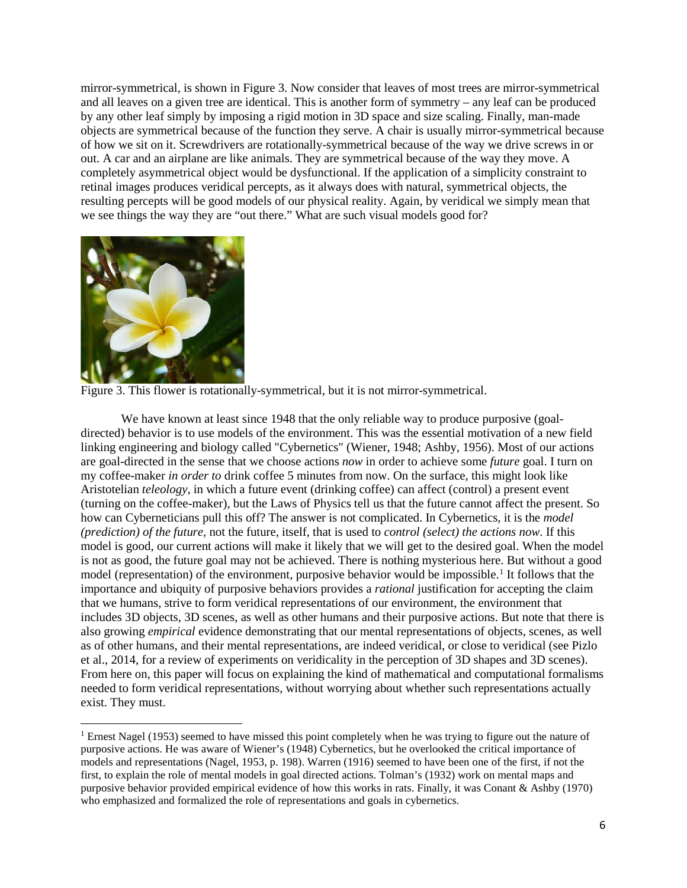mirror-symmetrical, is shown in Figure 3. Now consider that leaves of most trees are mirror-symmetrical and all leaves on a given tree are identical. This is another form of symmetry – any leaf can be produced by any other leaf simply by imposing a rigid motion in 3D space and size scaling. Finally, man-made objects are symmetrical because of the function they serve. A chair is usually mirror-symmetrical because of how we sit on it. Screwdrivers are rotationally-symmetrical because of the way we drive screws in or out. A car and an airplane are like animals. They are symmetrical because of the way they move. A completely asymmetrical object would be dysfunctional. If the application of a simplicity constraint to retinal images produces veridical percepts, as it always does with natural, symmetrical objects, the resulting percepts will be good models of our physical reality. Again, by veridical we simply mean that we see things the way they are "out there." What are such visual models good for?



 $\overline{\phantom{a}}$ 

Figure 3. This flower is rotationally-symmetrical, but it is not mirror-symmetrical.

We have known at least since 1948 that the only reliable way to produce purposive (goaldirected) behavior is to use models of the environment. This was the essential motivation of a new field linking engineering and biology called "Cybernetics" (Wiener, 1948; Ashby, 1956). Most of our actions are goal-directed in the sense that we choose actions *now* in order to achieve some *future* goal. I turn on my coffee-maker *in order to* drink coffee 5 minutes from now. On the surface, this might look like Aristotelian *teleology*, in which a future event (drinking coffee) can affect (control) a present event (turning on the coffee-maker), but the Laws of Physics tell us that the future cannot affect the present. So how can Cyberneticians pull this off? The answer is not complicated. In Cybernetics, it is the *model (prediction) of the future*, not the future, itself, that is used to *control (select) the actions now*. If this model is good, our current actions will make it likely that we will get to the desired goal. When the model is not as good, the future goal may not be achieved. There is nothing mysterious here. But without a good model (representation) of the environment, purposive behavior would be impossible.<sup>[1](#page-5-0)</sup> It follows that the importance and ubiquity of purposive behaviors provides a *rational* justification for accepting the claim that we humans, strive to form veridical representations of our environment, the environment that includes 3D objects, 3D scenes, as well as other humans and their purposive actions. But note that there is also growing *empirical* evidence demonstrating that our mental representations of objects, scenes, as well as of other humans, and their mental representations, are indeed veridical, or close to veridical (see Pizlo et al., 2014, for a review of experiments on veridicality in the perception of 3D shapes and 3D scenes). From here on, this paper will focus on explaining the kind of mathematical and computational formalisms needed to form veridical representations, without worrying about whether such representations actually exist. They must.

<span id="page-5-0"></span><sup>&</sup>lt;sup>1</sup> Ernest Nagel (1953) seemed to have missed this point completely when he was trying to figure out the nature of purposive actions. He was aware of Wiener's (1948) Cybernetics, but he overlooked the critical importance of models and representations (Nagel, 1953, p. 198). Warren (1916) seemed to have been one of the first, if not the first, to explain the role of mental models in goal directed actions. Tolman's (1932) work on mental maps and purposive behavior provided empirical evidence of how this works in rats. Finally, it was Conant & Ashby (1970) who emphasized and formalized the role of representations and goals in cybernetics.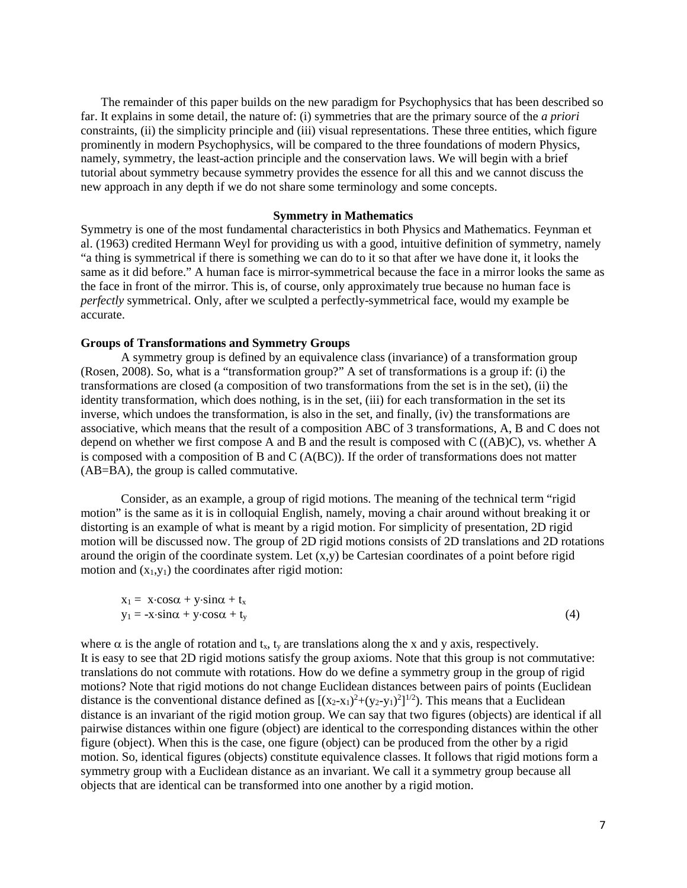The remainder of this paper builds on the new paradigm for Psychophysics that has been described so far. It explains in some detail, the nature of: (i) symmetries that are the primary source of the *a priori* constraints, (ii) the simplicity principle and (iii) visual representations. These three entities, which figure prominently in modern Psychophysics, will be compared to the three foundations of modern Physics, namely, symmetry, the least-action principle and the conservation laws. We will begin with a brief tutorial about symmetry because symmetry provides the essence for all this and we cannot discuss the new approach in any depth if we do not share some terminology and some concepts.

### **Symmetry in Mathematics**

Symmetry is one of the most fundamental characteristics in both Physics and Mathematics. Feynman et al. (1963) credited Hermann Weyl for providing us with a good, intuitive definition of symmetry, namely "a thing is symmetrical if there is something we can do to it so that after we have done it, it looks the same as it did before." A human face is mirror-symmetrical because the face in a mirror looks the same as the face in front of the mirror. This is, of course, only approximately true because no human face is *perfectly* symmetrical. Only, after we sculpted a perfectly-symmetrical face, would my example be accurate.

### **Groups of Transformations and Symmetry Groups**

A symmetry group is defined by an equivalence class (invariance) of a transformation group (Rosen, 2008). So, what is a "transformation group?" A set of transformations is a group if: (i) the transformations are closed (a composition of two transformations from the set is in the set), (ii) the identity transformation, which does nothing, is in the set, (iii) for each transformation in the set its inverse, which undoes the transformation, is also in the set, and finally, (iv) the transformations are associative, which means that the result of a composition ABC of 3 transformations, A, B and C does not depend on whether we first compose A and B and the result is composed with C ((AB)C), vs. whether A is composed with a composition of B and C (A(BC)). If the order of transformations does not matter (AB=BA), the group is called commutative.

Consider, as an example, a group of rigid motions. The meaning of the technical term "rigid motion" is the same as it is in colloquial English, namely, moving a chair around without breaking it or distorting is an example of what is meant by a rigid motion. For simplicity of presentation, 2D rigid motion will be discussed now. The group of 2D rigid motions consists of 2D translations and 2D rotations around the origin of the coordinate system. Let  $(x,y)$  be Cartesian coordinates of a point before rigid motion and  $(x_1,y_1)$  the coordinates after rigid motion:

| $x_1 = x \cdot \cos \alpha + y \cdot \sin \alpha + t_x$  |     |
|----------------------------------------------------------|-----|
| $y_1 = -x \cdot \sin \alpha + y \cdot \cos \alpha + t_y$ | (4) |

where  $\alpha$  is the angle of rotation and t<sub>x</sub>, t<sub>y</sub> are translations along the x and y axis, respectively. It is easy to see that 2D rigid motions satisfy the group axioms. Note that this group is not commutative: translations do not commute with rotations. How do we define a symmetry group in the group of rigid motions? Note that rigid motions do not change Euclidean distances between pairs of points (Euclidean distance is the conventional distance defined as  $[(x_2-x_1)^2+(y_2-y_1)^2]^{1/2}$ . This means that a Euclidean distance is an invariant of the rigid motion group. We can say that two figures (objects) are identical if all pairwise distances within one figure (object) are identical to the corresponding distances within the other figure (object). When this is the case, one figure (object) can be produced from the other by a rigid motion. So, identical figures (objects) constitute equivalence classes. It follows that rigid motions form a symmetry group with a Euclidean distance as an invariant. We call it a symmetry group because all objects that are identical can be transformed into one another by a rigid motion.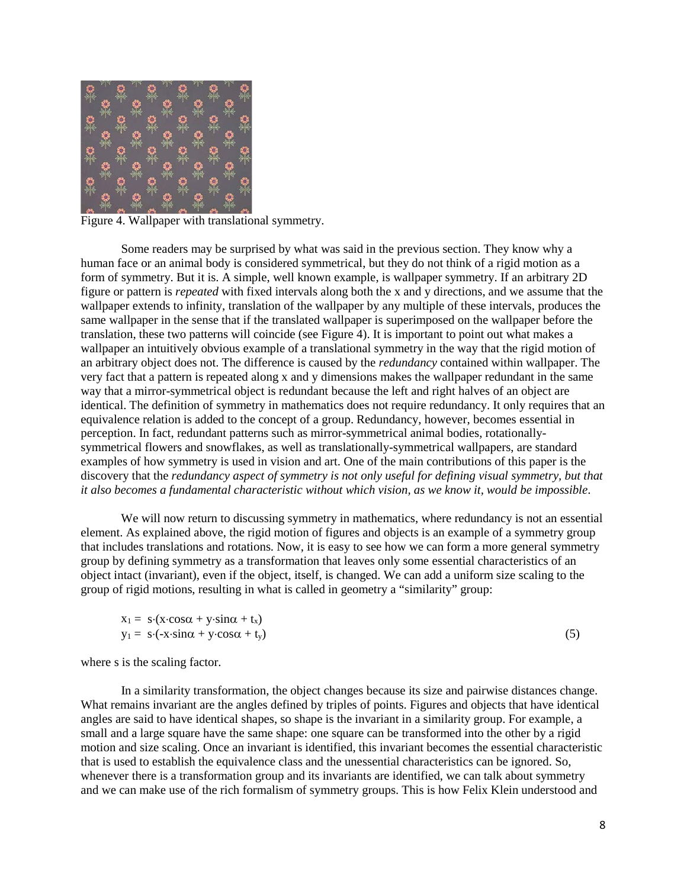

Figure 4. Wallpaper with translational symmetry.

Some readers may be surprised by what was said in the previous section. They know why a human face or an animal body is considered symmetrical, but they do not think of a rigid motion as a form of symmetry. But it is. A simple, well known example, is wallpaper symmetry. If an arbitrary 2D figure or pattern is *repeated* with fixed intervals along both the x and y directions, and we assume that the wallpaper extends to infinity, translation of the wallpaper by any multiple of these intervals, produces the same wallpaper in the sense that if the translated wallpaper is superimposed on the wallpaper before the translation, these two patterns will coincide (see Figure 4). It is important to point out what makes a wallpaper an intuitively obvious example of a translational symmetry in the way that the rigid motion of an arbitrary object does not. The difference is caused by the *redundancy* contained within wallpaper. The very fact that a pattern is repeated along x and y dimensions makes the wallpaper redundant in the same way that a mirror-symmetrical object is redundant because the left and right halves of an object are identical. The definition of symmetry in mathematics does not require redundancy. It only requires that an equivalence relation is added to the concept of a group. Redundancy, however, becomes essential in perception. In fact, redundant patterns such as mirror-symmetrical animal bodies, rotationallysymmetrical flowers and snowflakes, as well as translationally-symmetrical wallpapers, are standard examples of how symmetry is used in vision and art. One of the main contributions of this paper is the discovery that the *redundancy aspect of symmetry is not only useful for defining visual symmetry, but that it also becomes a fundamental characteristic without which vision, as we know it, would be impossible*.

We will now return to discussing symmetry in mathematics, where redundancy is not an essential element. As explained above, the rigid motion of figures and objects is an example of a symmetry group that includes translations and rotations. Now, it is easy to see how we can form a more general symmetry group by defining symmetry as a transformation that leaves only some essential characteristics of an object intact (invariant), even if the object, itself, is changed. We can add a uniform size scaling to the group of rigid motions, resulting in what is called in geometry a "similarity" group:

$$
x_1 = s \cdot (x \cdot \cos \alpha + y \cdot \sin \alpha + t_x) \n y_1 = s \cdot (-x \cdot \sin \alpha + y \cdot \cos \alpha + t_y)
$$
\n(5)

where s is the scaling factor.

In a similarity transformation, the object changes because its size and pairwise distances change. What remains invariant are the angles defined by triples of points. Figures and objects that have identical angles are said to have identical shapes, so shape is the invariant in a similarity group. For example, a small and a large square have the same shape: one square can be transformed into the other by a rigid motion and size scaling. Once an invariant is identified, this invariant becomes the essential characteristic that is used to establish the equivalence class and the unessential characteristics can be ignored. So, whenever there is a transformation group and its invariants are identified, we can talk about symmetry and we can make use of the rich formalism of symmetry groups. This is how Felix Klein understood and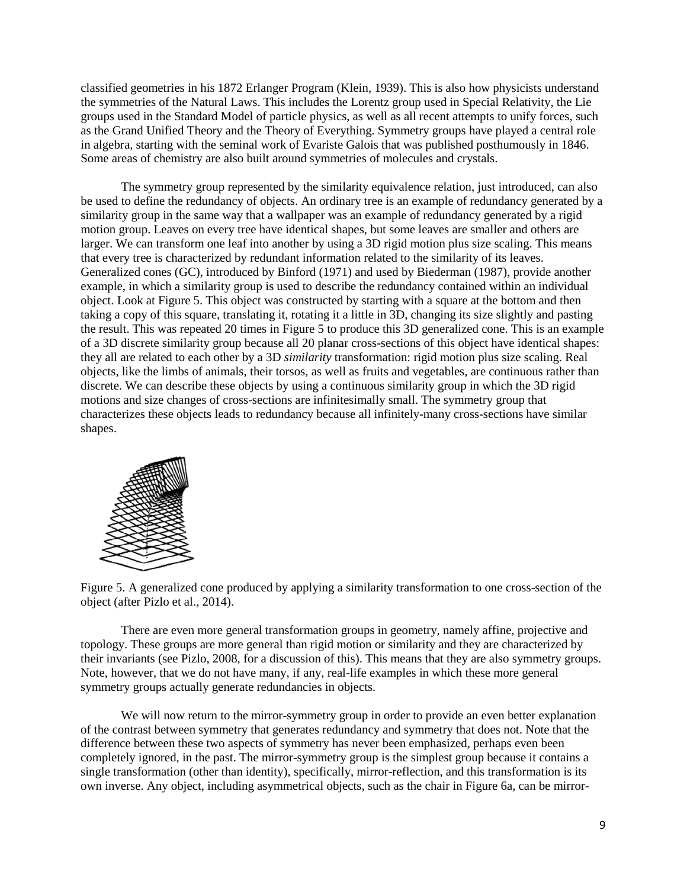classified geometries in his 1872 Erlanger Program (Klein, 1939). This is also how physicists understand the symmetries of the Natural Laws. This includes the Lorentz group used in Special Relativity, the Lie groups used in the Standard Model of particle physics, as well as all recent attempts to unify forces, such as the Grand Unified Theory and the Theory of Everything. Symmetry groups have played a central role in algebra, starting with the seminal work of Evariste Galois that was published posthumously in 1846. Some areas of chemistry are also built around symmetries of molecules and crystals.

The symmetry group represented by the similarity equivalence relation, just introduced, can also be used to define the redundancy of objects. An ordinary tree is an example of redundancy generated by a similarity group in the same way that a wallpaper was an example of redundancy generated by a rigid motion group. Leaves on every tree have identical shapes, but some leaves are smaller and others are larger. We can transform one leaf into another by using a 3D rigid motion plus size scaling. This means that every tree is characterized by redundant information related to the similarity of its leaves. Generalized cones (GC), introduced by Binford (1971) and used by Biederman (1987), provide another example, in which a similarity group is used to describe the redundancy contained within an individual object. Look at Figure 5. This object was constructed by starting with a square at the bottom and then taking a copy of this square, translating it, rotating it a little in 3D, changing its size slightly and pasting the result. This was repeated 20 times in Figure 5 to produce this 3D generalized cone. This is an example of a 3D discrete similarity group because all 20 planar cross-sections of this object have identical shapes: they all are related to each other by a 3D *similarity* transformation: rigid motion plus size scaling. Real objects, like the limbs of animals, their torsos, as well as fruits and vegetables, are continuous rather than discrete. We can describe these objects by using a continuous similarity group in which the 3D rigid motions and size changes of cross-sections are infinitesimally small. The symmetry group that characterizes these objects leads to redundancy because all infinitely-many cross-sections have similar shapes.



Figure 5. A generalized cone produced by applying a similarity transformation to one cross-section of the object (after Pizlo et al., 2014).

There are even more general transformation groups in geometry, namely affine, projective and topology. These groups are more general than rigid motion or similarity and they are characterized by their invariants (see Pizlo, 2008, for a discussion of this). This means that they are also symmetry groups. Note, however, that we do not have many, if any, real-life examples in which these more general symmetry groups actually generate redundancies in objects.

We will now return to the mirror-symmetry group in order to provide an even better explanation of the contrast between symmetry that generates redundancy and symmetry that does not. Note that the difference between these two aspects of symmetry has never been emphasized, perhaps even been completely ignored, in the past. The mirror-symmetry group is the simplest group because it contains a single transformation (other than identity), specifically, mirror-reflection, and this transformation is its own inverse. Any object, including asymmetrical objects, such as the chair in Figure 6a, can be mirror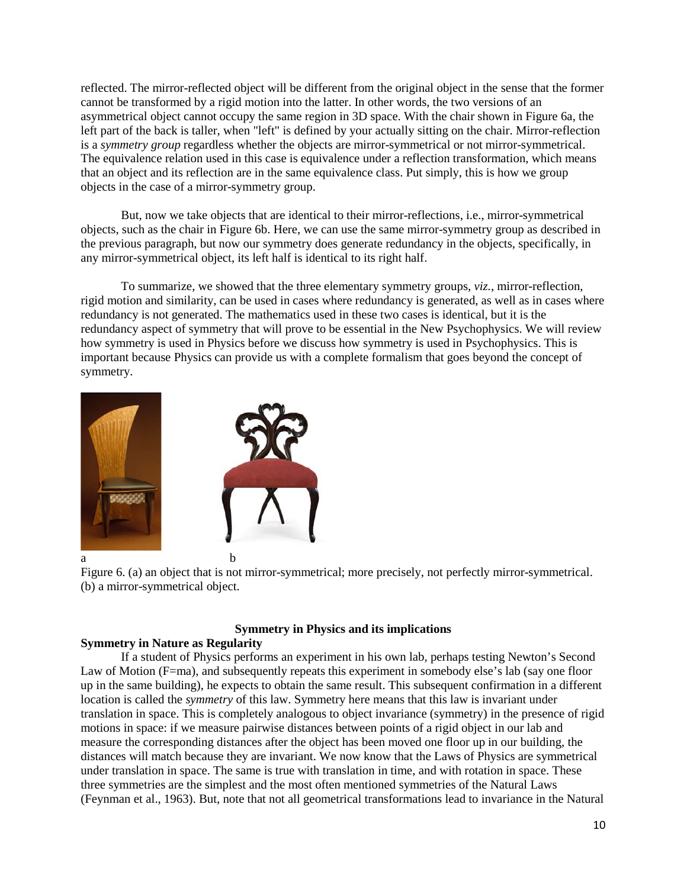reflected. The mirror-reflected object will be different from the original object in the sense that the former cannot be transformed by a rigid motion into the latter. In other words, the two versions of an asymmetrical object cannot occupy the same region in 3D space. With the chair shown in Figure 6a, the left part of the back is taller, when "left" is defined by your actually sitting on the chair. Mirror-reflection is a *symmetry group* regardless whether the objects are mirror-symmetrical or not mirror-symmetrical. The equivalence relation used in this case is equivalence under a reflection transformation, which means that an object and its reflection are in the same equivalence class. Put simply, this is how we group objects in the case of a mirror-symmetry group.

But, now we take objects that are identical to their mirror-reflections, i.e., mirror-symmetrical objects, such as the chair in Figure 6b. Here, we can use the same mirror-symmetry group as described in the previous paragraph, but now our symmetry does generate redundancy in the objects, specifically, in any mirror-symmetrical object, its left half is identical to its right half.

To summarize, we showed that the three elementary symmetry groups, *viz.*, mirror-reflection, rigid motion and similarity, can be used in cases where redundancy is generated, as well as in cases where redundancy is not generated. The mathematics used in these two cases is identical, but it is the redundancy aspect of symmetry that will prove to be essential in the New Psychophysics. We will review how symmetry is used in Physics before we discuss how symmetry is used in Psychophysics. This is important because Physics can provide us with a complete formalism that goes beyond the concept of symmetry.



Figure 6. (a) an object that is not mirror-symmetrical; more precisely, not perfectly mirror-symmetrical. (b) a mirror-symmetrical object.

# **Symmetry in Physics and its implications**

# **Symmetry in Nature as Regularity**

If a student of Physics performs an experiment in his own lab, perhaps testing Newton's Second Law of Motion (F=ma), and subsequently repeats this experiment in somebody else's lab (say one floor up in the same building), he expects to obtain the same result. This subsequent confirmation in a different location is called the *symmetry* of this law. Symmetry here means that this law is invariant under translation in space. This is completely analogous to object invariance (symmetry) in the presence of rigid motions in space: if we measure pairwise distances between points of a rigid object in our lab and measure the corresponding distances after the object has been moved one floor up in our building, the distances will match because they are invariant. We now know that the Laws of Physics are symmetrical under translation in space. The same is true with translation in time, and with rotation in space. These three symmetries are the simplest and the most often mentioned symmetries of the Natural Laws (Feynman et al., 1963). But, note that not all geometrical transformations lead to invariance in the Natural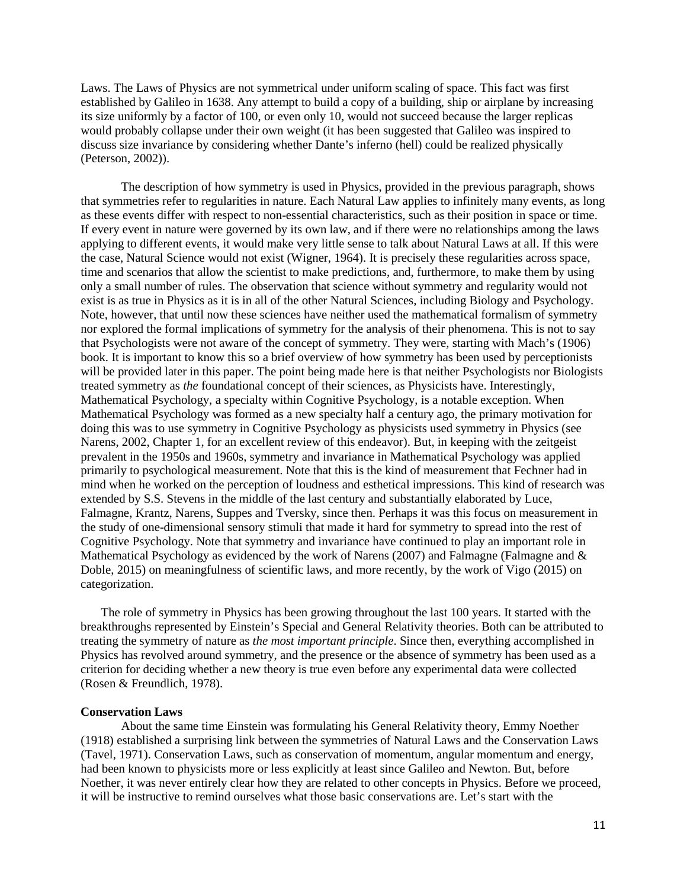Laws. The Laws of Physics are not symmetrical under uniform scaling of space. This fact was first established by Galileo in 1638. Any attempt to build a copy of a building, ship or airplane by increasing its size uniformly by a factor of 100, or even only 10, would not succeed because the larger replicas would probably collapse under their own weight (it has been suggested that Galileo was inspired to discuss size invariance by considering whether Dante's inferno (hell) could be realized physically (Peterson, 2002)).

The description of how symmetry is used in Physics, provided in the previous paragraph, shows that symmetries refer to regularities in nature. Each Natural Law applies to infinitely many events, as long as these events differ with respect to non-essential characteristics, such as their position in space or time. If every event in nature were governed by its own law, and if there were no relationships among the laws applying to different events, it would make very little sense to talk about Natural Laws at all. If this were the case, Natural Science would not exist (Wigner, 1964). It is precisely these regularities across space, time and scenarios that allow the scientist to make predictions, and, furthermore, to make them by using only a small number of rules. The observation that science without symmetry and regularity would not exist is as true in Physics as it is in all of the other Natural Sciences, including Biology and Psychology. Note, however, that until now these sciences have neither used the mathematical formalism of symmetry nor explored the formal implications of symmetry for the analysis of their phenomena. This is not to say that Psychologists were not aware of the concept of symmetry. They were, starting with Mach's (1906) book. It is important to know this so a brief overview of how symmetry has been used by perceptionists will be provided later in this paper. The point being made here is that neither Psychologists nor Biologists treated symmetry as *the* foundational concept of their sciences, as Physicists have. Interestingly, Mathematical Psychology, a specialty within Cognitive Psychology, is a notable exception. When Mathematical Psychology was formed as a new specialty half a century ago, the primary motivation for doing this was to use symmetry in Cognitive Psychology as physicists used symmetry in Physics (see Narens, 2002, Chapter 1, for an excellent review of this endeavor). But, in keeping with the zeitgeist prevalent in the 1950s and 1960s, symmetry and invariance in Mathematical Psychology was applied primarily to psychological measurement. Note that this is the kind of measurement that Fechner had in mind when he worked on the perception of loudness and esthetical impressions. This kind of research was extended by S.S. Stevens in the middle of the last century and substantially elaborated by Luce, Falmagne, Krantz, Narens, Suppes and Tversky, since then. Perhaps it was this focus on measurement in the study of one-dimensional sensory stimuli that made it hard for symmetry to spread into the rest of Cognitive Psychology. Note that symmetry and invariance have continued to play an important role in Mathematical Psychology as evidenced by the work of Narens (2007) and Falmagne (Falmagne and  $\&$ Doble, 2015) on meaningfulness of scientific laws, and more recently, by the work of Vigo (2015) on categorization.

The role of symmetry in Physics has been growing throughout the last 100 years. It started with the breakthroughs represented by Einstein's Special and General Relativity theories. Both can be attributed to treating the symmetry of nature as *the most important principle*. Since then, everything accomplished in Physics has revolved around symmetry, and the presence or the absence of symmetry has been used as a criterion for deciding whether a new theory is true even before any experimental data were collected (Rosen & Freundlich, 1978).

### **Conservation Laws**

About the same time Einstein was formulating his General Relativity theory, Emmy Noether (1918) established a surprising link between the symmetries of Natural Laws and the Conservation Laws (Tavel, 1971). Conservation Laws, such as conservation of momentum, angular momentum and energy, had been known to physicists more or less explicitly at least since Galileo and Newton. But, before Noether, it was never entirely clear how they are related to other concepts in Physics. Before we proceed, it will be instructive to remind ourselves what those basic conservations are. Let's start with the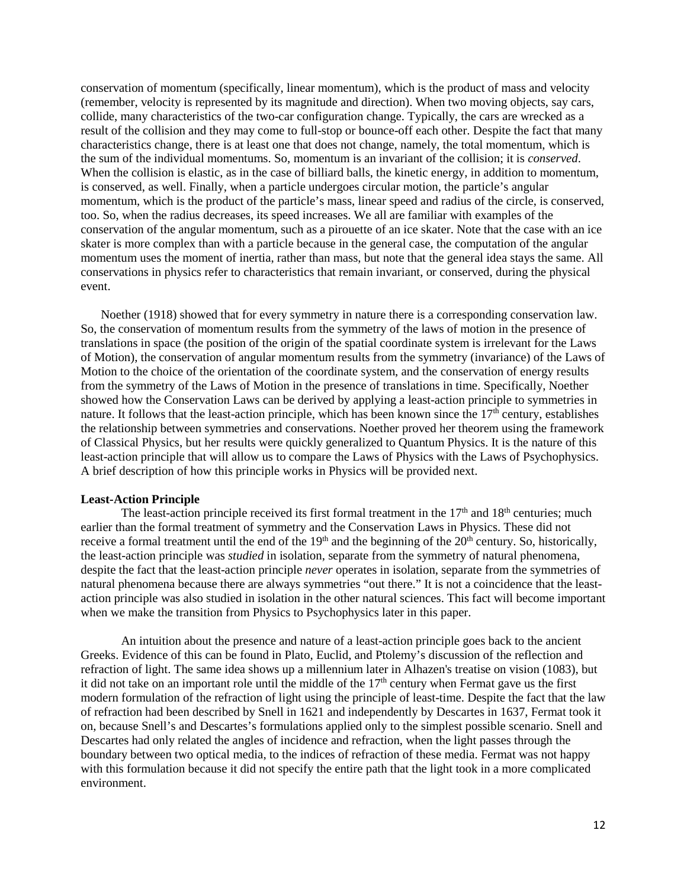conservation of momentum (specifically, linear momentum), which is the product of mass and velocity (remember, velocity is represented by its magnitude and direction). When two moving objects, say cars, collide, many characteristics of the two-car configuration change. Typically, the cars are wrecked as a result of the collision and they may come to full-stop or bounce-off each other. Despite the fact that many characteristics change, there is at least one that does not change, namely, the total momentum, which is the sum of the individual momentums. So, momentum is an invariant of the collision; it is *conserved*. When the collision is elastic, as in the case of billiard balls, the kinetic energy, in addition to momentum, is conserved, as well. Finally, when a particle undergoes circular motion, the particle's angular momentum, which is the product of the particle's mass, linear speed and radius of the circle, is conserved, too. So, when the radius decreases, its speed increases. We all are familiar with examples of the conservation of the angular momentum, such as a pirouette of an ice skater. Note that the case with an ice skater is more complex than with a particle because in the general case, the computation of the angular momentum uses the moment of inertia, rather than mass, but note that the general idea stays the same. All conservations in physics refer to characteristics that remain invariant, or conserved, during the physical event.

Noether (1918) showed that for every symmetry in nature there is a corresponding conservation law. So, the conservation of momentum results from the symmetry of the laws of motion in the presence of translations in space (the position of the origin of the spatial coordinate system is irrelevant for the Laws of Motion), the conservation of angular momentum results from the symmetry (invariance) of the Laws of Motion to the choice of the orientation of the coordinate system, and the conservation of energy results from the symmetry of the Laws of Motion in the presence of translations in time. Specifically, Noether showed how the Conservation Laws can be derived by applying a least-action principle to symmetries in nature. It follows that the least-action principle, which has been known since the  $17<sup>th</sup>$  century, establishes the relationship between symmetries and conservations. Noether proved her theorem using the framework of Classical Physics, but her results were quickly generalized to Quantum Physics. It is the nature of this least-action principle that will allow us to compare the Laws of Physics with the Laws of Psychophysics. A brief description of how this principle works in Physics will be provided next.

# **Least-Action Principle**

The least-action principle received its first formal treatment in the  $17<sup>th</sup>$  and  $18<sup>th</sup>$  centuries; much earlier than the formal treatment of symmetry and the Conservation Laws in Physics. These did not receive a formal treatment until the end of the  $19<sup>th</sup>$  and the beginning of the  $20<sup>th</sup>$  century. So, historically, the least-action principle was *studied* in isolation, separate from the symmetry of natural phenomena, despite the fact that the least-action principle *never* operates in isolation, separate from the symmetries of natural phenomena because there are always symmetries "out there." It is not a coincidence that the leastaction principle was also studied in isolation in the other natural sciences. This fact will become important when we make the transition from Physics to Psychophysics later in this paper.

An intuition about the presence and nature of a least-action principle goes back to the ancient Greeks. Evidence of this can be found in Plato, Euclid, and Ptolemy's discussion of the reflection and refraction of light. The same idea shows up a millennium later in Alhazen's treatise on vision (1083), but it did not take on an important role until the middle of the  $17<sup>th</sup>$  century when Fermat gave us the first modern formulation of the refraction of light using the principle of least-time. Despite the fact that the law of refraction had been described by Snell in 1621 and independently by Descartes in 1637, Fermat took it on, because Snell's and Descartes's formulations applied only to the simplest possible scenario. Snell and Descartes had only related the angles of incidence and refraction, when the light passes through the boundary between two optical media, to the indices of refraction of these media. Fermat was not happy with this formulation because it did not specify the entire path that the light took in a more complicated environment.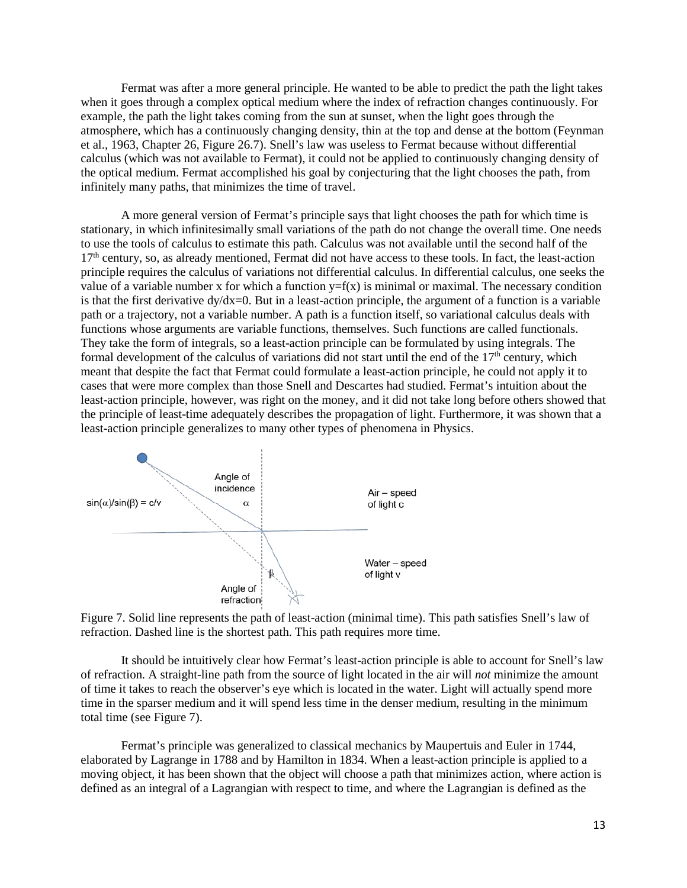Fermat was after a more general principle. He wanted to be able to predict the path the light takes when it goes through a complex optical medium where the index of refraction changes continuously. For example, the path the light takes coming from the sun at sunset, when the light goes through the atmosphere, which has a continuously changing density, thin at the top and dense at the bottom (Feynman et al., 1963, Chapter 26, Figure 26.7). Snell's law was useless to Fermat because without differential calculus (which was not available to Fermat), it could not be applied to continuously changing density of the optical medium. Fermat accomplished his goal by conjecturing that the light chooses the path, from infinitely many paths, that minimizes the time of travel.

A more general version of Fermat's principle says that light chooses the path for which time is stationary, in which infinitesimally small variations of the path do not change the overall time. One needs to use the tools of calculus to estimate this path. Calculus was not available until the second half of the 17th century, so, as already mentioned, Fermat did not have access to these tools. In fact, the least-action principle requires the calculus of variations not differential calculus. In differential calculus, one seeks the value of a variable number x for which a function  $y=f(x)$  is minimal or maximal. The necessary condition is that the first derivative  $dy/dx=0$ . But in a least-action principle, the argument of a function is a variable path or a trajectory, not a variable number. A path is a function itself, so variational calculus deals with functions whose arguments are variable functions, themselves. Such functions are called functionals. They take the form of integrals, so a least-action principle can be formulated by using integrals. The formal development of the calculus of variations did not start until the end of the  $17<sup>th</sup>$  century, which meant that despite the fact that Fermat could formulate a least-action principle, he could not apply it to cases that were more complex than those Snell and Descartes had studied. Fermat's intuition about the least-action principle, however, was right on the money, and it did not take long before others showed that the principle of least-time adequately describes the propagation of light. Furthermore, it was shown that a least-action principle generalizes to many other types of phenomena in Physics.



Figure 7. Solid line represents the path of least-action (minimal time). This path satisfies Snell's law of refraction. Dashed line is the shortest path. This path requires more time.

It should be intuitively clear how Fermat's least-action principle is able to account for Snell's law of refraction. A straight-line path from the source of light located in the air will *not* minimize the amount of time it takes to reach the observer's eye which is located in the water. Light will actually spend more time in the sparser medium and it will spend less time in the denser medium, resulting in the minimum total time (see Figure 7).

Fermat's principle was generalized to classical mechanics by Maupertuis and Euler in 1744, elaborated by Lagrange in 1788 and by Hamilton in 1834. When a least-action principle is applied to a moving object, it has been shown that the object will choose a path that minimizes action, where action is defined as an integral of a Lagrangian with respect to time, and where the Lagrangian is defined as the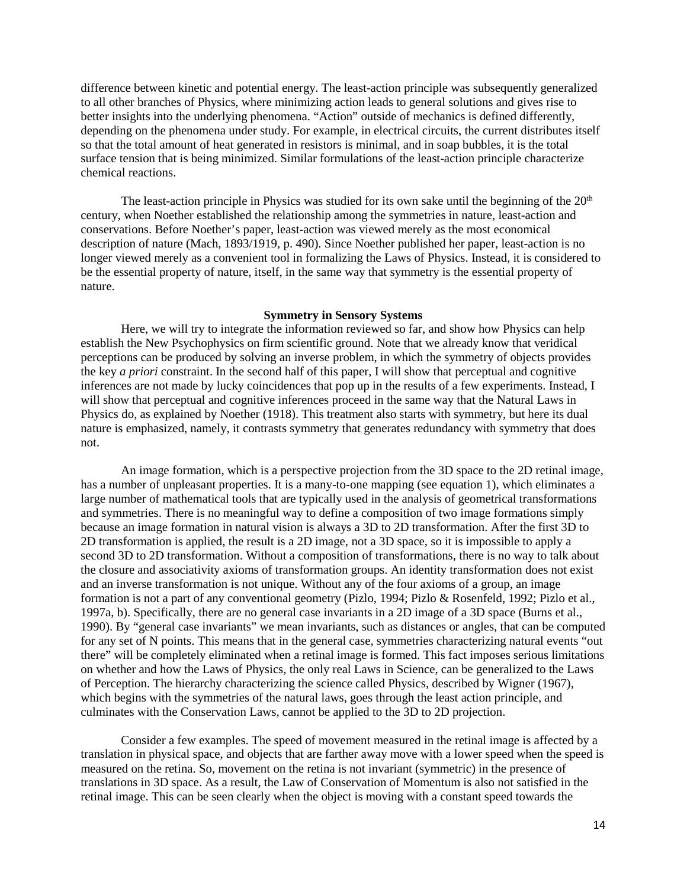difference between kinetic and potential energy. The least-action principle was subsequently generalized to all other branches of Physics, where minimizing action leads to general solutions and gives rise to better insights into the underlying phenomena. "Action" outside of mechanics is defined differently, depending on the phenomena under study. For example, in electrical circuits, the current distributes itself so that the total amount of heat generated in resistors is minimal, and in soap bubbles, it is the total surface tension that is being minimized. Similar formulations of the least-action principle characterize chemical reactions.

The least-action principle in Physics was studied for its own sake until the beginning of the  $20<sup>th</sup>$ century, when Noether established the relationship among the symmetries in nature, least-action and conservations. Before Noether's paper, least-action was viewed merely as the most economical description of nature (Mach, 1893/1919, p. 490). Since Noether published her paper, least-action is no longer viewed merely as a convenient tool in formalizing the Laws of Physics. Instead, it is considered to be the essential property of nature, itself, in the same way that symmetry is the essential property of nature.

# **Symmetry in Sensory Systems**

Here, we will try to integrate the information reviewed so far, and show how Physics can help establish the New Psychophysics on firm scientific ground. Note that we already know that veridical perceptions can be produced by solving an inverse problem, in which the symmetry of objects provides the key *a priori* constraint. In the second half of this paper, I will show that perceptual and cognitive inferences are not made by lucky coincidences that pop up in the results of a few experiments. Instead, I will show that perceptual and cognitive inferences proceed in the same way that the Natural Laws in Physics do, as explained by Noether (1918). This treatment also starts with symmetry, but here its dual nature is emphasized, namely, it contrasts symmetry that generates redundancy with symmetry that does not.

An image formation, which is a perspective projection from the 3D space to the 2D retinal image, has a number of unpleasant properties. It is a many-to-one mapping (see equation 1), which eliminates a large number of mathematical tools that are typically used in the analysis of geometrical transformations and symmetries. There is no meaningful way to define a composition of two image formations simply because an image formation in natural vision is always a 3D to 2D transformation. After the first 3D to 2D transformation is applied, the result is a 2D image, not a 3D space, so it is impossible to apply a second 3D to 2D transformation. Without a composition of transformations, there is no way to talk about the closure and associativity axioms of transformation groups. An identity transformation does not exist and an inverse transformation is not unique. Without any of the four axioms of a group, an image formation is not a part of any conventional geometry (Pizlo, 1994; Pizlo & Rosenfeld, 1992; Pizlo et al., 1997a, b). Specifically, there are no general case invariants in a 2D image of a 3D space (Burns et al., 1990). By "general case invariants" we mean invariants, such as distances or angles, that can be computed for any set of N points. This means that in the general case, symmetries characterizing natural events "out there" will be completely eliminated when a retinal image is formed. This fact imposes serious limitations on whether and how the Laws of Physics, the only real Laws in Science, can be generalized to the Laws of Perception. The hierarchy characterizing the science called Physics, described by Wigner (1967), which begins with the symmetries of the natural laws, goes through the least action principle, and culminates with the Conservation Laws, cannot be applied to the 3D to 2D projection.

Consider a few examples. The speed of movement measured in the retinal image is affected by a translation in physical space, and objects that are farther away move with a lower speed when the speed is measured on the retina. So, movement on the retina is not invariant (symmetric) in the presence of translations in 3D space. As a result, the Law of Conservation of Momentum is also not satisfied in the retinal image. This can be seen clearly when the object is moving with a constant speed towards the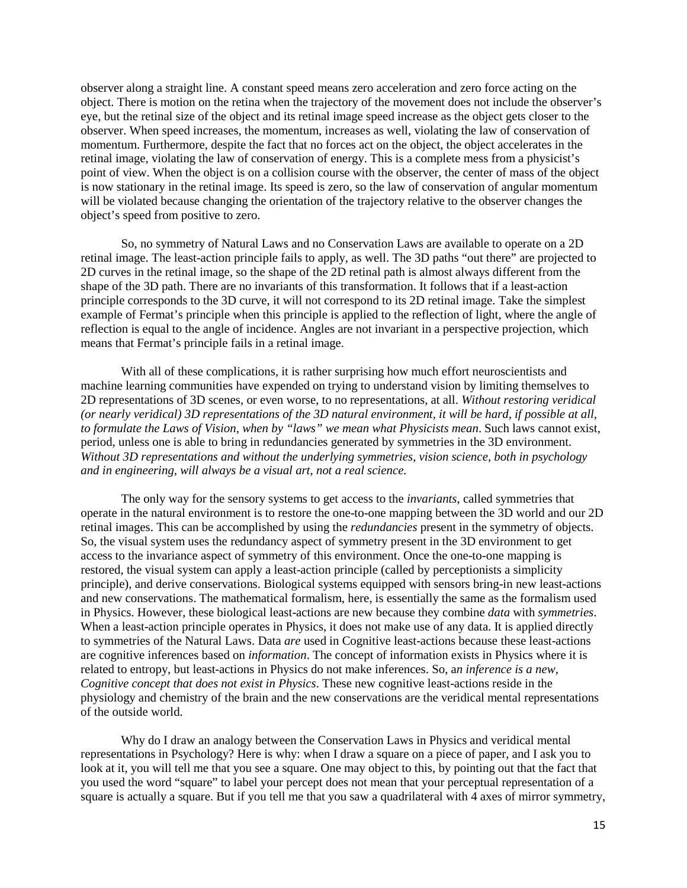observer along a straight line. A constant speed means zero acceleration and zero force acting on the object. There is motion on the retina when the trajectory of the movement does not include the observer's eye, but the retinal size of the object and its retinal image speed increase as the object gets closer to the observer. When speed increases, the momentum, increases as well, violating the law of conservation of momentum. Furthermore, despite the fact that no forces act on the object, the object accelerates in the retinal image, violating the law of conservation of energy. This is a complete mess from a physicist's point of view. When the object is on a collision course with the observer, the center of mass of the object is now stationary in the retinal image. Its speed is zero, so the law of conservation of angular momentum will be violated because changing the orientation of the trajectory relative to the observer changes the object's speed from positive to zero.

So, no symmetry of Natural Laws and no Conservation Laws are available to operate on a 2D retinal image. The least-action principle fails to apply, as well. The 3D paths "out there" are projected to 2D curves in the retinal image, so the shape of the 2D retinal path is almost always different from the shape of the 3D path. There are no invariants of this transformation. It follows that if a least-action principle corresponds to the 3D curve, it will not correspond to its 2D retinal image. Take the simplest example of Fermat's principle when this principle is applied to the reflection of light, where the angle of reflection is equal to the angle of incidence. Angles are not invariant in a perspective projection, which means that Fermat's principle fails in a retinal image.

With all of these complications, it is rather surprising how much effort neuroscientists and machine learning communities have expended on trying to understand vision by limiting themselves to 2D representations of 3D scenes, or even worse, to no representations, at all. *Without restoring veridical (or nearly veridical) 3D representations of the 3D natural environment, it will be hard, if possible at all, to formulate the Laws of Vision, when by "laws" we mean what Physicists mean*. Such laws cannot exist, period, unless one is able to bring in redundancies generated by symmetries in the 3D environment. *Without 3D representations and without the underlying symmetries, vision science, both in psychology and in engineering, will always be a visual art, not a real science.* 

The only way for the sensory systems to get access to the *invariants*, called symmetries that operate in the natural environment is to restore the one-to-one mapping between the 3D world and our 2D retinal images. This can be accomplished by using the *redundancies* present in the symmetry of objects. So, the visual system uses the redundancy aspect of symmetry present in the 3D environment to get access to the invariance aspect of symmetry of this environment. Once the one-to-one mapping is restored, the visual system can apply a least-action principle (called by perceptionists a simplicity principle), and derive conservations. Biological systems equipped with sensors bring-in new least-actions and new conservations. The mathematical formalism, here, is essentially the same as the formalism used in Physics. However, these biological least-actions are new because they combine *data* with *symmetries*. When a least-action principle operates in Physics, it does not make use of any data. It is applied directly to symmetries of the Natural Laws. Data *are* used in Cognitive least-actions because these least-actions are cognitive inferences based on *information*. The concept of information exists in Physics where it is related to entropy, but least-actions in Physics do not make inferences. So, a*n inference is a new, Cognitive concept that does not exist in Physics*. These new cognitive least-actions reside in the physiology and chemistry of the brain and the new conservations are the veridical mental representations of the outside world.

Why do I draw an analogy between the Conservation Laws in Physics and veridical mental representations in Psychology? Here is why: when I draw a square on a piece of paper, and I ask you to look at it, you will tell me that you see a square. One may object to this, by pointing out that the fact that you used the word "square" to label your percept does not mean that your perceptual representation of a square is actually a square. But if you tell me that you saw a quadrilateral with  $\overline{4}$  axes of mirror symmetry,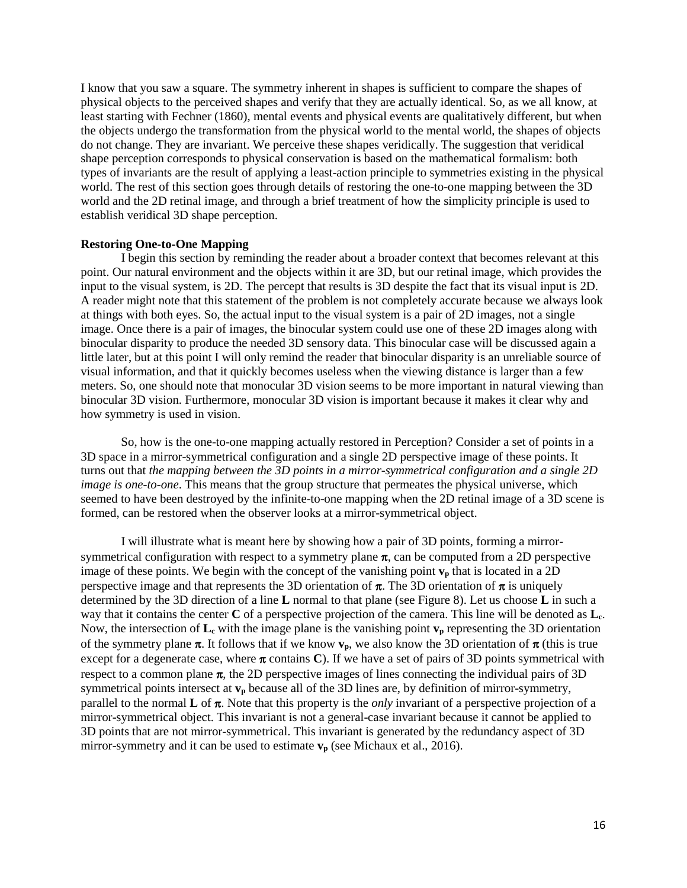I know that you saw a square. The symmetry inherent in shapes is sufficient to compare the shapes of physical objects to the perceived shapes and verify that they are actually identical. So, as we all know, at least starting with Fechner (1860), mental events and physical events are qualitatively different, but when the objects undergo the transformation from the physical world to the mental world, the shapes of objects do not change. They are invariant. We perceive these shapes veridically. The suggestion that veridical shape perception corresponds to physical conservation is based on the mathematical formalism: both types of invariants are the result of applying a least-action principle to symmetries existing in the physical world. The rest of this section goes through details of restoring the one-to-one mapping between the 3D world and the 2D retinal image, and through a brief treatment of how the simplicity principle is used to establish veridical 3D shape perception.

### **Restoring One-to-One Mapping**

I begin this section by reminding the reader about a broader context that becomes relevant at this point. Our natural environment and the objects within it are 3D, but our retinal image, which provides the input to the visual system, is 2D. The percept that results is 3D despite the fact that its visual input is 2D. A reader might note that this statement of the problem is not completely accurate because we always look at things with both eyes. So, the actual input to the visual system is a pair of 2D images, not a single image. Once there is a pair of images, the binocular system could use one of these 2D images along with binocular disparity to produce the needed 3D sensory data. This binocular case will be discussed again a little later, but at this point I will only remind the reader that binocular disparity is an unreliable source of visual information, and that it quickly becomes useless when the viewing distance is larger than a few meters. So, one should note that monocular 3D vision seems to be more important in natural viewing than binocular 3D vision. Furthermore, monocular 3D vision is important because it makes it clear why and how symmetry is used in vision.

So, how is the one-to-one mapping actually restored in Perception? Consider a set of points in a 3D space in a mirror-symmetrical configuration and a single 2D perspective image of these points. It turns out that *the mapping between the 3D points in a mirror-symmetrical configuration and a single 2D image is one-to-one*. This means that the group structure that permeates the physical universe, which seemed to have been destroyed by the infinite-to-one mapping when the 2D retinal image of a 3D scene is formed, can be restored when the observer looks at a mirror-symmetrical object.

I will illustrate what is meant here by showing how a pair of 3D points, forming a mirrorsymmetrical configuration with respect to a symmetry plane  $\pi$ , can be computed from a 2D perspective image of these points. We begin with the concept of the vanishing point  $v_p$  that is located in a 2D perspective image and that represents the 3D orientation of  $\pi$ . The 3D orientation of  $\pi$  is uniquely determined by the 3D direction of a line **L** normal to that plane (see Figure 8). Let us choose **L** in such a way that it contains the center **C** of a perspective projection of the camera. This line will be denoted as **Lc**. Now, the intersection of  $\mathbf{L}_{c}$  with the image plane is the vanishing point  $\mathbf{v}_{p}$  representing the 3D orientation of the symmetry plane  $\pi$ . It follows that if we know  $v_p$ , we also know the 3D orientation of  $\pi$  (this is true except for a degenerate case, where  $\pi$  contains **C**). If we have a set of pairs of 3D points symmetrical with respect to a common plane  $\pi$ , the 2D perspective images of lines connecting the individual pairs of 3D symmetrical points intersect at  $v_p$  because all of the 3D lines are, by definition of mirror-symmetry, parallel to the normal **L** of  $\pi$ . Note that this property is the *only* invariant of a perspective projection of a mirror-symmetrical object. This invariant is not a general-case invariant because it cannot be applied to 3D points that are not mirror-symmetrical. This invariant is generated by the redundancy aspect of 3D mirror-symmetry and it can be used to estimate  $v_p$  (see Michaux et al., 2016).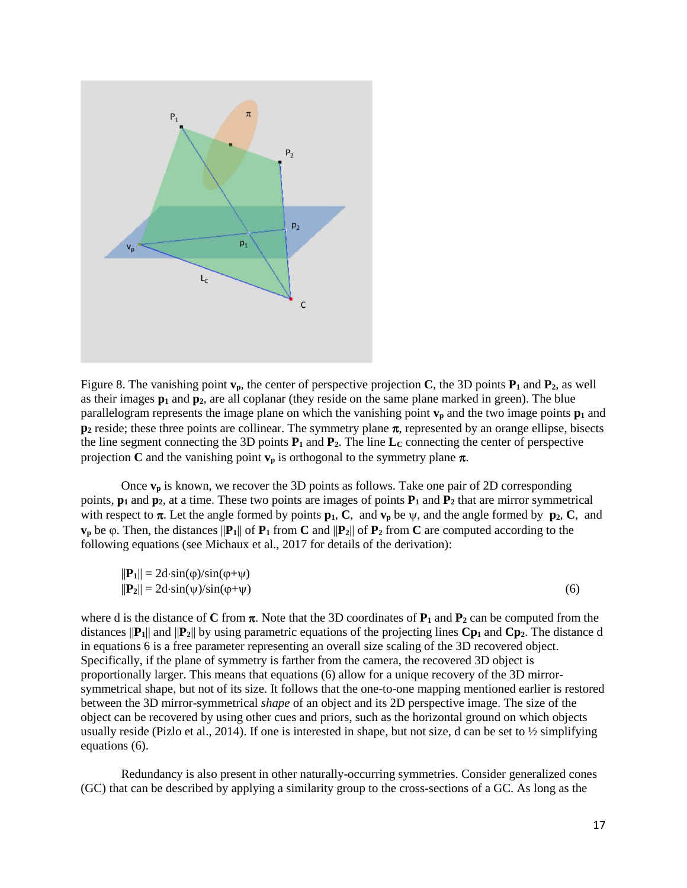

Figure 8. The vanishing point  $\mathbf{v}_p$ , the center of perspective projection **C**, the 3D points  $\mathbf{P}_1$  and  $\mathbf{P}_2$ , as well as their images  $p_1$  and  $p_2$ , are all coplanar (they reside on the same plane marked in green). The blue parallelogram represents the image plane on which the vanishing point  $v_p$  and the two image points  $p_1$  and **p<sub>2</sub>** reside; these three points are collinear. The symmetry plane π, represented by an orange ellipse, bisects the line segment connecting the 3D points  $P_1$  and  $P_2$ . The line  $L_c$  connecting the center of perspective projection **C** and the vanishing point  $v_p$  is orthogonal to the symmetry plane  $\pi$ .

Once **vp** is known, we recover the 3D points as follows. Take one pair of 2D corresponding points,  $\mathbf{p}_1$  and  $\mathbf{p}_2$ , at a time. These two points are images of points  $\mathbf{P}_1$  and  $\mathbf{P}_2$  that are mirror symmetrical with respect to  $\pi$ . Let the angle formed by points  $\mathbf{p}_1$ , **C**, and  $\mathbf{v}_p$  be  $\psi$ , and the angle formed by  $\mathbf{p}_2$ , **C**, and **v**<sub>p</sub> be  $\varphi$ . Then, the distances  $||P_1||$  of  $P_1$  from **C** and  $||P_2||$  of  $P_2$  from **C** are computed according to the following equations (see Michaux et al., 2017 for details of the derivation):

$$
||\mathbf{P}_1|| = 2d \cdot \sin(\varphi)/\sin(\varphi + \psi)
$$
  

$$
||\mathbf{P}_2|| = 2d \cdot \sin(\psi)/\sin(\varphi + \psi)
$$
 (6)

where d is the distance of C from  $\pi$ . Note that the 3D coordinates of  $P_1$  and  $P_2$  can be computed from the distances  $||P_1||$  and  $||P_2||$  by using parametric equations of the projecting lines  $Cp_1$  and  $Cp_2$ . The distance d in equations 6 is a free parameter representing an overall size scaling of the 3D recovered object. Specifically, if the plane of symmetry is farther from the camera, the recovered 3D object is proportionally larger. This means that equations (6) allow for a unique recovery of the 3D mirrorsymmetrical shape, but not of its size. It follows that the one-to-one mapping mentioned earlier is restored between the 3D mirror-symmetrical *shape* of an object and its 2D perspective image. The size of the object can be recovered by using other cues and priors, such as the horizontal ground on which objects usually reside (Pizlo et al., 2014). If one is interested in shape, but not size, d can be set to  $\frac{1}{2}$  simplifying equations (6).

Redundancy is also present in other naturally-occurring symmetries. Consider generalized cones (GC) that can be described by applying a similarity group to the cross-sections of a GC. As long as the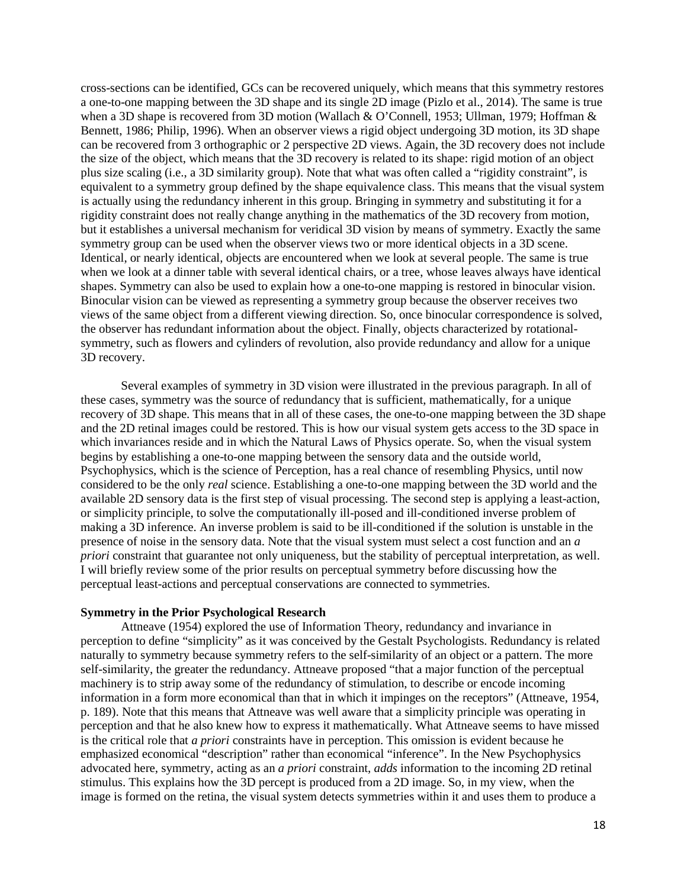cross-sections can be identified, GCs can be recovered uniquely, which means that this symmetry restores a one-to-one mapping between the 3D shape and its single 2D image (Pizlo et al., 2014). The same is true when a 3D shape is recovered from 3D motion (Wallach & O'Connell, 1953; Ullman, 1979; Hoffman & Bennett, 1986; Philip, 1996). When an observer views a rigid object undergoing 3D motion, its 3D shape can be recovered from 3 orthographic or 2 perspective 2D views. Again, the 3D recovery does not include the size of the object, which means that the 3D recovery is related to its shape: rigid motion of an object plus size scaling (i.e., a 3D similarity group). Note that what was often called a "rigidity constraint", is equivalent to a symmetry group defined by the shape equivalence class. This means that the visual system is actually using the redundancy inherent in this group. Bringing in symmetry and substituting it for a rigidity constraint does not really change anything in the mathematics of the 3D recovery from motion, but it establishes a universal mechanism for veridical 3D vision by means of symmetry. Exactly the same symmetry group can be used when the observer views two or more identical objects in a 3D scene. Identical, or nearly identical, objects are encountered when we look at several people. The same is true when we look at a dinner table with several identical chairs, or a tree, whose leaves always have identical shapes. Symmetry can also be used to explain how a one-to-one mapping is restored in binocular vision. Binocular vision can be viewed as representing a symmetry group because the observer receives two views of the same object from a different viewing direction. So, once binocular correspondence is solved, the observer has redundant information about the object. Finally, objects characterized by rotationalsymmetry, such as flowers and cylinders of revolution, also provide redundancy and allow for a unique 3D recovery.

Several examples of symmetry in 3D vision were illustrated in the previous paragraph. In all of these cases, symmetry was the source of redundancy that is sufficient, mathematically, for a unique recovery of 3D shape. This means that in all of these cases, the one-to-one mapping between the 3D shape and the 2D retinal images could be restored. This is how our visual system gets access to the 3D space in which invariances reside and in which the Natural Laws of Physics operate. So, when the visual system begins by establishing a one-to-one mapping between the sensory data and the outside world, Psychophysics, which is the science of Perception, has a real chance of resembling Physics, until now considered to be the only *real* science. Establishing a one-to-one mapping between the 3D world and the available 2D sensory data is the first step of visual processing. The second step is applying a least-action, or simplicity principle, to solve the computationally ill-posed and ill-conditioned inverse problem of making a 3D inference. An inverse problem is said to be ill-conditioned if the solution is unstable in the presence of noise in the sensory data. Note that the visual system must select a cost function and an *a priori* constraint that guarantee not only uniqueness, but the stability of perceptual interpretation, as well. I will briefly review some of the prior results on perceptual symmetry before discussing how the perceptual least-actions and perceptual conservations are connected to symmetries.

## **Symmetry in the Prior Psychological Research**

Attneave (1954) explored the use of Information Theory, redundancy and invariance in perception to define "simplicity" as it was conceived by the Gestalt Psychologists. Redundancy is related naturally to symmetry because symmetry refers to the self-similarity of an object or a pattern. The more self-similarity, the greater the redundancy. Attneave proposed "that a major function of the perceptual machinery is to strip away some of the redundancy of stimulation, to describe or encode incoming information in a form more economical than that in which it impinges on the receptors" (Attneave, 1954, p. 189). Note that this means that Attneave was well aware that a simplicity principle was operating in perception and that he also knew how to express it mathematically. What Attneave seems to have missed is the critical role that *a priori* constraints have in perception. This omission is evident because he emphasized economical "description" rather than economical "inference". In the New Psychophysics advocated here, symmetry, acting as an *a priori* constraint, *adds* information to the incoming 2D retinal stimulus. This explains how the 3D percept is produced from a 2D image. So, in my view, when the image is formed on the retina, the visual system detects symmetries within it and uses them to produce a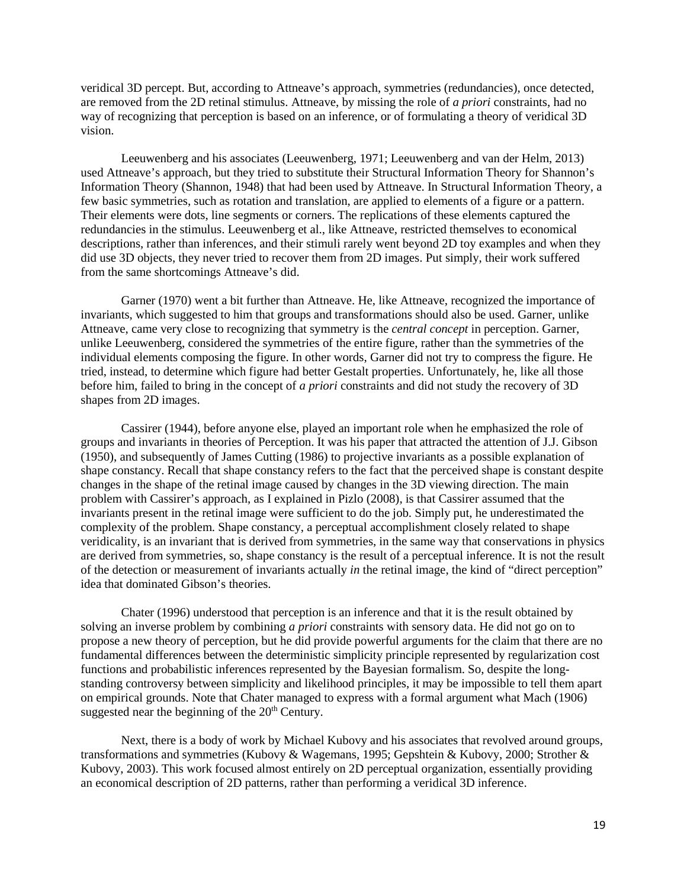veridical 3D percept. But, according to Attneave's approach, symmetries (redundancies), once detected, are removed from the 2D retinal stimulus. Attneave, by missing the role of *a priori* constraints, had no way of recognizing that perception is based on an inference, or of formulating a theory of veridical 3D vision.

Leeuwenberg and his associates (Leeuwenberg, 1971; Leeuwenberg and van der Helm, 2013) used Attneave's approach, but they tried to substitute their Structural Information Theory for Shannon's Information Theory (Shannon, 1948) that had been used by Attneave. In Structural Information Theory, a few basic symmetries, such as rotation and translation, are applied to elements of a figure or a pattern. Their elements were dots, line segments or corners. The replications of these elements captured the redundancies in the stimulus. Leeuwenberg et al., like Attneave, restricted themselves to economical descriptions, rather than inferences, and their stimuli rarely went beyond 2D toy examples and when they did use 3D objects, they never tried to recover them from 2D images. Put simply, their work suffered from the same shortcomings Attneave's did.

Garner (1970) went a bit further than Attneave. He, like Attneave, recognized the importance of invariants, which suggested to him that groups and transformations should also be used. Garner, unlike Attneave, came very close to recognizing that symmetry is the *central concept* in perception. Garner, unlike Leeuwenberg, considered the symmetries of the entire figure, rather than the symmetries of the individual elements composing the figure. In other words, Garner did not try to compress the figure. He tried, instead, to determine which figure had better Gestalt properties. Unfortunately, he, like all those before him, failed to bring in the concept of *a priori* constraints and did not study the recovery of 3D shapes from 2D images.

Cassirer (1944), before anyone else, played an important role when he emphasized the role of groups and invariants in theories of Perception. It was his paper that attracted the attention of J.J. Gibson (1950), and subsequently of James Cutting (1986) to projective invariants as a possible explanation of shape constancy. Recall that shape constancy refers to the fact that the perceived shape is constant despite changes in the shape of the retinal image caused by changes in the 3D viewing direction. The main problem with Cassirer's approach, as I explained in Pizlo (2008), is that Cassirer assumed that the invariants present in the retinal image were sufficient to do the job. Simply put, he underestimated the complexity of the problem. Shape constancy, a perceptual accomplishment closely related to shape veridicality, is an invariant that is derived from symmetries, in the same way that conservations in physics are derived from symmetries, so, shape constancy is the result of a perceptual inference. It is not the result of the detection or measurement of invariants actually *in* the retinal image, the kind of "direct perception" idea that dominated Gibson's theories.

Chater (1996) understood that perception is an inference and that it is the result obtained by solving an inverse problem by combining *a priori* constraints with sensory data. He did not go on to propose a new theory of perception, but he did provide powerful arguments for the claim that there are no fundamental differences between the deterministic simplicity principle represented by regularization cost functions and probabilistic inferences represented by the Bayesian formalism. So, despite the longstanding controversy between simplicity and likelihood principles, it may be impossible to tell them apart on empirical grounds. Note that Chater managed to express with a formal argument what Mach (1906) suggested near the beginning of the  $20<sup>th</sup>$  Century.

Next, there is a body of work by Michael Kubovy and his associates that revolved around groups, transformations and symmetries (Kubovy & Wagemans, 1995; Gepshtein & Kubovy, 2000; Strother & Kubovy, 2003). This work focused almost entirely on 2D perceptual organization, essentially providing an economical description of 2D patterns, rather than performing a veridical 3D inference.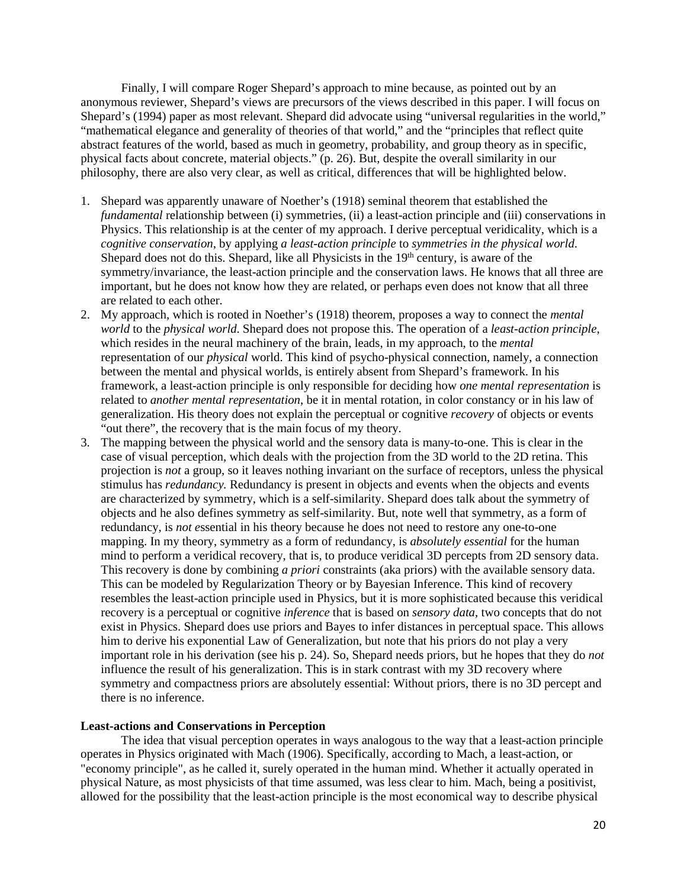Finally, I will compare Roger Shepard's approach to mine because, as pointed out by an anonymous reviewer, Shepard's views are precursors of the views described in this paper. I will focus on Shepard's (1994) paper as most relevant. Shepard did advocate using "universal regularities in the world," "mathematical elegance and generality of theories of that world," and the "principles that reflect quite abstract features of the world, based as much in geometry, probability, and group theory as in specific, physical facts about concrete, material objects." (p. 26). But, despite the overall similarity in our philosophy, there are also very clear, as well as critical, differences that will be highlighted below.

- 1. Shepard was apparently unaware of Noether's (1918) seminal theorem that established the *fundamental* relationship between (i) symmetries, (ii) a least-action principle and (iii) conservations in Physics. This relationship is at the center of my approach. I derive perceptual veridicality, which is a *cognitive conservation*, by applying *a least-action principle* to *symmetries in the physical world*. Shepard does not do this. Shepard, like all Physicists in the  $19<sup>th</sup>$  century, is aware of the symmetry/invariance, the least-action principle and the conservation laws. He knows that all three are important, but he does not know how they are related, or perhaps even does not know that all three are related to each other.
- 2. My approach, which is rooted in Noether's (1918) theorem, proposes a way to connect the *mental world* to the *physical world*. Shepard does not propose this. The operation of a *least-action principle*, which resides in the neural machinery of the brain, leads, in my approach, to the *mental* representation of our *physical* world. This kind of psycho-physical connection, namely, a connection between the mental and physical worlds, is entirely absent from Shepard's framework. In his framework, a least-action principle is only responsible for deciding how *one mental representation* is related to *another mental representation*, be it in mental rotation, in color constancy or in his law of generalization. His theory does not explain the perceptual or cognitive *recovery* of objects or events "out there", the recovery that is the main focus of my theory.
- 3. The mapping between the physical world and the sensory data is many-to-one. This is clear in the case of visual perception, which deals with the projection from the 3D world to the 2D retina. This projection is *not* a group, so it leaves nothing invariant on the surface of receptors, unless the physical stimulus has *redundancy.* Redundancy is present in objects and events when the objects and events are characterized by symmetry, which is a self-similarity. Shepard does talk about the symmetry of objects and he also defines symmetry as self-similarity. But, note well that symmetry, as a form of redundancy, is *not e*ssential in his theory because he does not need to restore any one-to-one mapping. In my theory, symmetry as a form of redundancy, is *absolutely essential* for the human mind to perform a veridical recovery, that is, to produce veridical 3D percepts from 2D sensory data. This recovery is done by combining *a priori* constraints (aka priors) with the available sensory data. This can be modeled by Regularization Theory or by Bayesian Inference. This kind of recovery resembles the least-action principle used in Physics, but it is more sophisticated because this veridical recovery is a perceptual or cognitive *inference* that is based on *sensory data*, two concepts that do not exist in Physics. Shepard does use priors and Bayes to infer distances in perceptual space. This allows him to derive his exponential Law of Generalization, but note that his priors do not play a very important role in his derivation (see his p. 24). So, Shepard needs priors, but he hopes that they do *not*  influence the result of his generalization. This is in stark contrast with my 3D recovery where symmetry and compactness priors are absolutely essential: Without priors, there is no 3D percept and there is no inference.

### **Least-actions and Conservations in Perception**

The idea that visual perception operates in ways analogous to the way that a least-action principle operates in Physics originated with Mach (1906). Specifically, according to Mach, a least-action, or "economy principle", as he called it, surely operated in the human mind. Whether it actually operated in physical Nature, as most physicists of that time assumed, was less clear to him. Mach, being a positivist, allowed for the possibility that the least-action principle is the most economical way to describe physical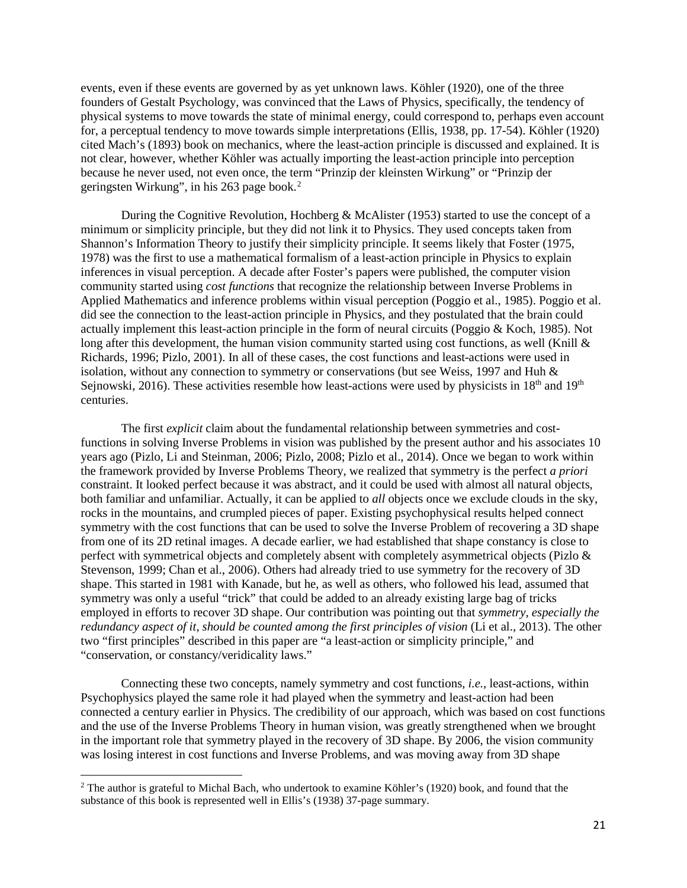events, even if these events are governed by as yet unknown laws. Köhler (1920), one of the three founders of Gestalt Psychology, was convinced that the Laws of Physics, specifically, the tendency of physical systems to move towards the state of minimal energy, could correspond to, perhaps even account for, a perceptual tendency to move towards simple interpretations (Ellis, 1938, pp. 17-54). Köhler (1920) cited Mach's (1893) book on mechanics, where the least-action principle is discussed and explained. It is not clear, however, whether Köhler was actually importing the least-action principle into perception because he never used, not even once, the term "Prinzip der kleinsten Wirkung" or "Prinzip der geringsten Wirkung", in his 263 page book. [2](#page-20-0)

During the Cognitive Revolution, Hochberg & McAlister (1953) started to use the concept of a minimum or simplicity principle, but they did not link it to Physics. They used concepts taken from Shannon's Information Theory to justify their simplicity principle. It seems likely that Foster (1975, 1978) was the first to use a mathematical formalism of a least-action principle in Physics to explain inferences in visual perception. A decade after Foster's papers were published, the computer vision community started using *cost functions* that recognize the relationship between Inverse Problems in Applied Mathematics and inference problems within visual perception (Poggio et al., 1985). Poggio et al. did see the connection to the least-action principle in Physics, and they postulated that the brain could actually implement this least-action principle in the form of neural circuits (Poggio & Koch, 1985). Not long after this development, the human vision community started using cost functions, as well (Knill & Richards, 1996; Pizlo, 2001). In all of these cases, the cost functions and least-actions were used in isolation, without any connection to symmetry or conservations (but see Weiss, 1997 and Huh & Sejnowski, 2016). These activities resemble how least-actions were used by physicists in 18<sup>th</sup> and 19<sup>th</sup> centuries.

The first *explicit* claim about the fundamental relationship between symmetries and costfunctions in solving Inverse Problems in vision was published by the present author and his associates 10 years ago (Pizlo, Li and Steinman, 2006; Pizlo, 2008; Pizlo et al., 2014). Once we began to work within the framework provided by Inverse Problems Theory, we realized that symmetry is the perfect *a priori* constraint. It looked perfect because it was abstract, and it could be used with almost all natural objects, both familiar and unfamiliar. Actually, it can be applied to *all* objects once we exclude clouds in the sky, rocks in the mountains, and crumpled pieces of paper. Existing psychophysical results helped connect symmetry with the cost functions that can be used to solve the Inverse Problem of recovering a 3D shape from one of its 2D retinal images. A decade earlier, we had established that shape constancy is close to perfect with symmetrical objects and completely absent with completely asymmetrical objects (Pizlo & Stevenson, 1999; Chan et al., 2006). Others had already tried to use symmetry for the recovery of 3D shape. This started in 1981 with Kanade, but he, as well as others, who followed his lead, assumed that symmetry was only a useful "trick" that could be added to an already existing large bag of tricks employed in efforts to recover 3D shape. Our contribution was pointing out that *symmetry, especially the redundancy aspect of it, should be counted among the first principles of vision* (Li et al., 2013). The other two "first principles" described in this paper are "a least-action or simplicity principle," and "conservation, or constancy/veridicality laws."

Connecting these two concepts, namely symmetry and cost functions, *i.e.,* least-actions, within Psychophysics played the same role it had played when the symmetry and least-action had been connected a century earlier in Physics. The credibility of our approach, which was based on cost functions and the use of the Inverse Problems Theory in human vision, was greatly strengthened when we brought in the important role that symmetry played in the recovery of 3D shape. By 2006, the vision community was losing interest in cost functions and Inverse Problems, and was moving away from 3D shape

l

<span id="page-20-0"></span><sup>&</sup>lt;sup>2</sup> The author is grateful to Michal Bach, who undertook to examine Köhler's (1920) book, and found that the substance of this book is represented well in Ellis's (1938) 37-page summary.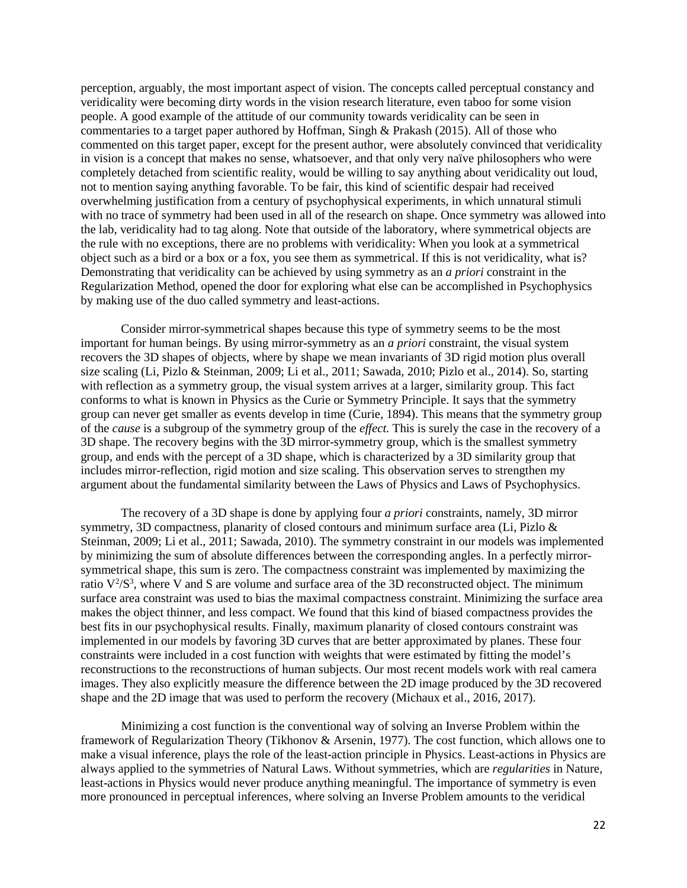perception, arguably, the most important aspect of vision. The concepts called perceptual constancy and veridicality were becoming dirty words in the vision research literature, even taboo for some vision people. A good example of the attitude of our community towards veridicality can be seen in commentaries to a target paper authored by Hoffman, Singh & Prakash (2015). All of those who commented on this target paper, except for the present author, were absolutely convinced that veridicality in vision is a concept that makes no sense, whatsoever, and that only very naïve philosophers who were completely detached from scientific reality, would be willing to say anything about veridicality out loud, not to mention saying anything favorable. To be fair, this kind of scientific despair had received overwhelming justification from a century of psychophysical experiments, in which unnatural stimuli with no trace of symmetry had been used in all of the research on shape. Once symmetry was allowed into the lab, veridicality had to tag along. Note that outside of the laboratory, where symmetrical objects are the rule with no exceptions, there are no problems with veridicality: When you look at a symmetrical object such as a bird or a box or a fox, you see them as symmetrical. If this is not veridicality, what is? Demonstrating that veridicality can be achieved by using symmetry as an *a priori* constraint in the Regularization Method, opened the door for exploring what else can be accomplished in Psychophysics by making use of the duo called symmetry and least-actions.

Consider mirror-symmetrical shapes because this type of symmetry seems to be the most important for human beings. By using mirror-symmetry as an *a priori* constraint, the visual system recovers the 3D shapes of objects, where by shape we mean invariants of 3D rigid motion plus overall size scaling (Li, Pizlo & Steinman, 2009; Li et al., 2011; Sawada, 2010; Pizlo et al., 2014). So, starting with reflection as a symmetry group, the visual system arrives at a larger, similarity group. This fact conforms to what is known in Physics as the Curie or Symmetry Principle. It says that the symmetry group can never get smaller as events develop in time (Curie, 1894). This means that the symmetry group of the *cause* is a subgroup of the symmetry group of the *effect.* This is surely the case in the recovery of a 3D shape. The recovery begins with the 3D mirror-symmetry group, which is the smallest symmetry group, and ends with the percept of a 3D shape, which is characterized by a 3D similarity group that includes mirror-reflection, rigid motion and size scaling. This observation serves to strengthen my argument about the fundamental similarity between the Laws of Physics and Laws of Psychophysics.

The recovery of a 3D shape is done by applying four *a priori* constraints, namely, 3D mirror symmetry, 3D compactness, planarity of closed contours and minimum surface area (Li, Pizlo & Steinman, 2009; Li et al., 2011; Sawada, 2010). The symmetry constraint in our models was implemented by minimizing the sum of absolute differences between the corresponding angles. In a perfectly mirrorsymmetrical shape, this sum is zero. The compactness constraint was implemented by maximizing the ratio  $V^2/S^3$ , where V and S are volume and surface area of the 3D reconstructed object. The minimum surface area constraint was used to bias the maximal compactness constraint. Minimizing the surface area makes the object thinner, and less compact. We found that this kind of biased compactness provides the best fits in our psychophysical results. Finally, maximum planarity of closed contours constraint was implemented in our models by favoring 3D curves that are better approximated by planes. These four constraints were included in a cost function with weights that were estimated by fitting the model's reconstructions to the reconstructions of human subjects. Our most recent models work with real camera images. They also explicitly measure the difference between the 2D image produced by the 3D recovered shape and the 2D image that was used to perform the recovery (Michaux et al., 2016, 2017).

Minimizing a cost function is the conventional way of solving an Inverse Problem within the framework of Regularization Theory (Tikhonov & Arsenin, 1977). The cost function, which allows one to make a visual inference, plays the role of the least-action principle in Physics. Least-actions in Physics are always applied to the symmetries of Natural Laws. Without symmetries, which are *regularities* in Nature, least-actions in Physics would never produce anything meaningful. The importance of symmetry is even more pronounced in perceptual inferences, where solving an Inverse Problem amounts to the veridical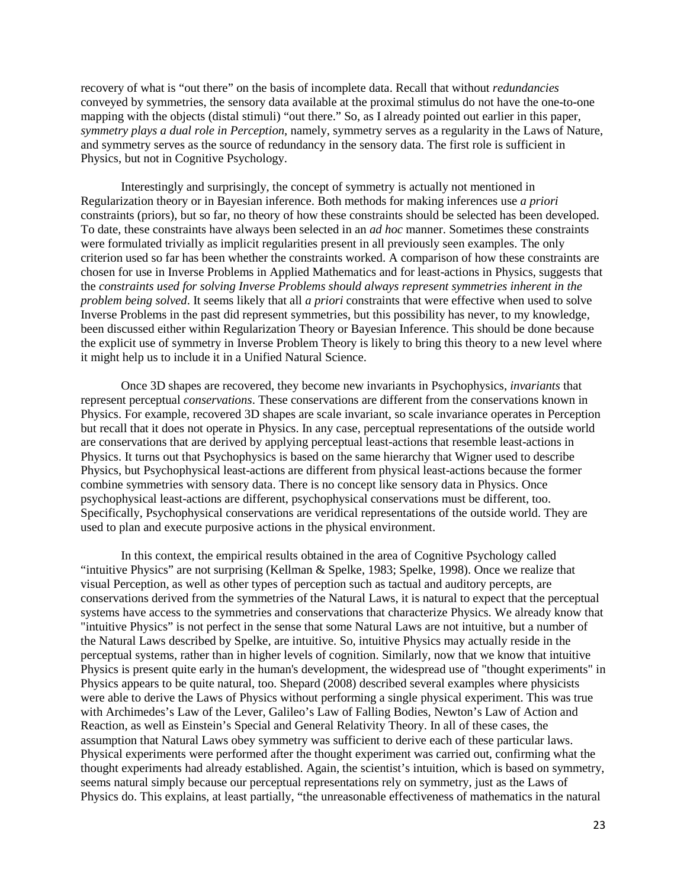recovery of what is "out there" on the basis of incomplete data. Recall that without *redundancies*  conveyed by symmetries, the sensory data available at the proximal stimulus do not have the one-to-one mapping with the objects (distal stimuli) "out there." So*,* as I already pointed out earlier in this paper, *symmetry plays a dual role in Perception*, namely, symmetry serves as a regularity in the Laws of Nature, and symmetry serves as the source of redundancy in the sensory data. The first role is sufficient in Physics, but not in Cognitive Psychology.

Interestingly and surprisingly, the concept of symmetry is actually not mentioned in Regularization theory or in Bayesian inference. Both methods for making inferences use *a priori* constraints (priors), but so far, no theory of how these constraints should be selected has been developed. To date, these constraints have always been selected in an *ad hoc* manner. Sometimes these constraints were formulated trivially as implicit regularities present in all previously seen examples. The only criterion used so far has been whether the constraints worked. A comparison of how these constraints are chosen for use in Inverse Problems in Applied Mathematics and for least-actions in Physics, suggests that the *constraints used for solving Inverse Problems should always represent symmetries inherent in the problem being solved*. It seems likely that all *a priori* constraints that were effective when used to solve Inverse Problems in the past did represent symmetries, but this possibility has never, to my knowledge, been discussed either within Regularization Theory or Bayesian Inference. This should be done because the explicit use of symmetry in Inverse Problem Theory is likely to bring this theory to a new level where it might help us to include it in a Unified Natural Science.

Once 3D shapes are recovered, they become new invariants in Psychophysics, *invariants* that represent perceptual *conservations*. These conservations are different from the conservations known in Physics. For example, recovered 3D shapes are scale invariant, so scale invariance operates in Perception but recall that it does not operate in Physics. In any case, perceptual representations of the outside world are conservations that are derived by applying perceptual least-actions that resemble least-actions in Physics. It turns out that Psychophysics is based on the same hierarchy that Wigner used to describe Physics, but Psychophysical least-actions are different from physical least-actions because the former combine symmetries with sensory data. There is no concept like sensory data in Physics. Once psychophysical least-actions are different, psychophysical conservations must be different, too. Specifically, Psychophysical conservations are veridical representations of the outside world. They are used to plan and execute purposive actions in the physical environment.

In this context, the empirical results obtained in the area of Cognitive Psychology called "intuitive Physics" are not surprising (Kellman & Spelke, 1983; Spelke, 1998). Once we realize that visual Perception, as well as other types of perception such as tactual and auditory percepts, are conservations derived from the symmetries of the Natural Laws, it is natural to expect that the perceptual systems have access to the symmetries and conservations that characterize Physics. We already know that "intuitive Physics" is not perfect in the sense that some Natural Laws are not intuitive, but a number of the Natural Laws described by Spelke, are intuitive. So, intuitive Physics may actually reside in the perceptual systems, rather than in higher levels of cognition. Similarly, now that we know that intuitive Physics is present quite early in the human's development, the widespread use of "thought experiments" in Physics appears to be quite natural, too. Shepard (2008) described several examples where physicists were able to derive the Laws of Physics without performing a single physical experiment. This was true with Archimedes's Law of the Lever, Galileo's Law of Falling Bodies, Newton's Law of Action and Reaction, as well as Einstein's Special and General Relativity Theory. In all of these cases, the assumption that Natural Laws obey symmetry was sufficient to derive each of these particular laws. Physical experiments were performed after the thought experiment was carried out, confirming what the thought experiments had already established. Again, the scientist's intuition, which is based on symmetry, seems natural simply because our perceptual representations rely on symmetry, just as the Laws of Physics do. This explains, at least partially, "the unreasonable effectiveness of mathematics in the natural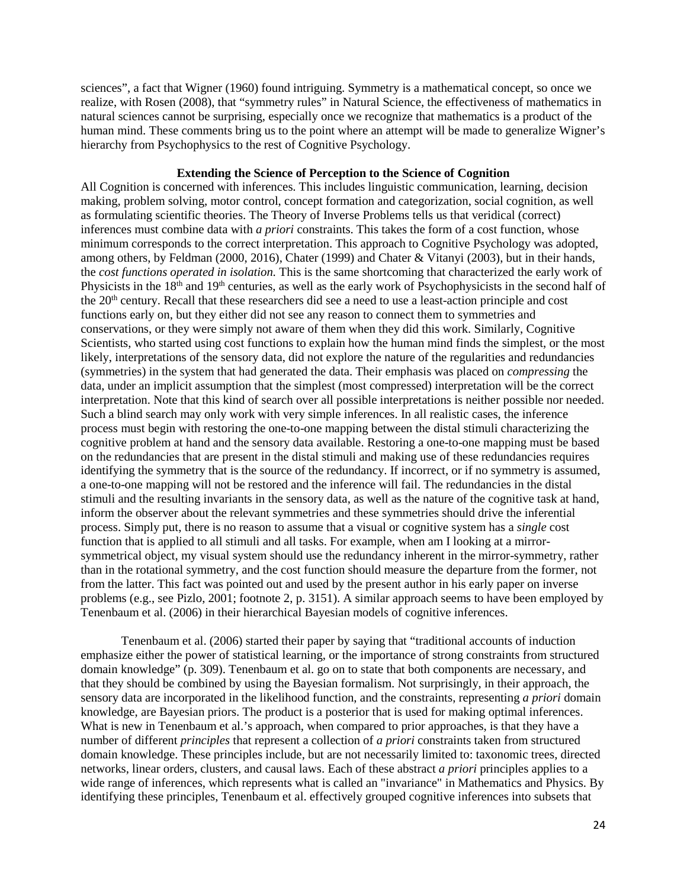sciences", a fact that Wigner (1960) found intriguing. Symmetry is a mathematical concept, so once we realize, with Rosen (2008), that "symmetry rules" in Natural Science, the effectiveness of mathematics in natural sciences cannot be surprising, especially once we recognize that mathematics is a product of the human mind. These comments bring us to the point where an attempt will be made to generalize Wigner's hierarchy from Psychophysics to the rest of Cognitive Psychology.

# **Extending the Science of Perception to the Science of Cognition**

All Cognition is concerned with inferences. This includes linguistic communication, learning, decision making, problem solving, motor control, concept formation and categorization, social cognition, as well as formulating scientific theories. The Theory of Inverse Problems tells us that veridical (correct) inferences must combine data with *a priori* constraints. This takes the form of a cost function, whose minimum corresponds to the correct interpretation. This approach to Cognitive Psychology was adopted, among others, by Feldman (2000, 2016), Chater (1999) and Chater & Vitanyi (2003), but in their hands, the *cost functions operated in isolation.* This is the same shortcoming that characterized the early work of Physicists in the 18<sup>th</sup> and 19<sup>th</sup> centuries, as well as the early work of Psychophysicists in the second half of the 20th century. Recall that these researchers did see a need to use a least-action principle and cost functions early on, but they either did not see any reason to connect them to symmetries and conservations, or they were simply not aware of them when they did this work. Similarly, Cognitive Scientists, who started using cost functions to explain how the human mind finds the simplest, or the most likely, interpretations of the sensory data, did not explore the nature of the regularities and redundancies (symmetries) in the system that had generated the data. Their emphasis was placed on *compressing* the data, under an implicit assumption that the simplest (most compressed) interpretation will be the correct interpretation. Note that this kind of search over all possible interpretations is neither possible nor needed. Such a blind search may only work with very simple inferences. In all realistic cases, the inference process must begin with restoring the one-to-one mapping between the distal stimuli characterizing the cognitive problem at hand and the sensory data available. Restoring a one-to-one mapping must be based on the redundancies that are present in the distal stimuli and making use of these redundancies requires identifying the symmetry that is the source of the redundancy. If incorrect, or if no symmetry is assumed, a one-to-one mapping will not be restored and the inference will fail. The redundancies in the distal stimuli and the resulting invariants in the sensory data, as well as the nature of the cognitive task at hand, inform the observer about the relevant symmetries and these symmetries should drive the inferential process. Simply put, there is no reason to assume that a visual or cognitive system has a *single* cost function that is applied to all stimuli and all tasks. For example, when am I looking at a mirrorsymmetrical object, my visual system should use the redundancy inherent in the mirror-symmetry, rather than in the rotational symmetry, and the cost function should measure the departure from the former, not from the latter. This fact was pointed out and used by the present author in his early paper on inverse problems (e.g., see Pizlo, 2001; footnote 2, p. 3151). A similar approach seems to have been employed by Tenenbaum et al. (2006) in their hierarchical Bayesian models of cognitive inferences.

Tenenbaum et al. (2006) started their paper by saying that "traditional accounts of induction emphasize either the power of statistical learning, or the importance of strong constraints from structured domain knowledge" (p. 309). Tenenbaum et al. go on to state that both components are necessary, and that they should be combined by using the Bayesian formalism. Not surprisingly, in their approach, the sensory data are incorporated in the likelihood function, and the constraints, representing *a priori* domain knowledge, are Bayesian priors. The product is a posterior that is used for making optimal inferences. What is new in Tenenbaum et al.'s approach, when compared to prior approaches, is that they have a number of different *principles* that represent a collection of *a priori* constraints taken from structured domain knowledge. These principles include, but are not necessarily limited to: taxonomic trees, directed networks, linear orders, clusters, and causal laws. Each of these abstract *a priori* principles applies to a wide range of inferences, which represents what is called an "invariance" in Mathematics and Physics. By identifying these principles, Tenenbaum et al. effectively grouped cognitive inferences into subsets that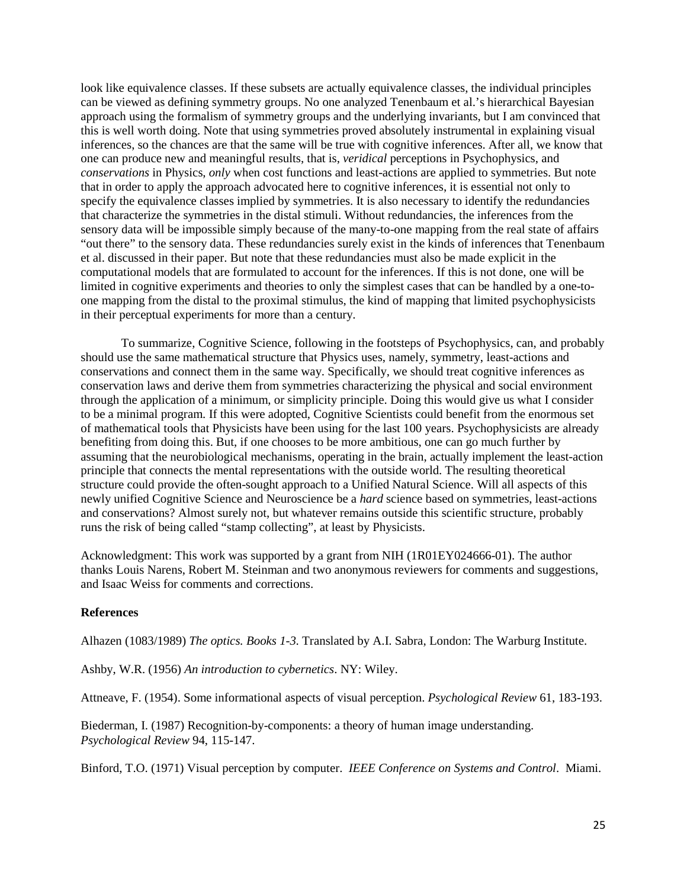look like equivalence classes. If these subsets are actually equivalence classes, the individual principles can be viewed as defining symmetry groups. No one analyzed Tenenbaum et al.'s hierarchical Bayesian approach using the formalism of symmetry groups and the underlying invariants, but I am convinced that this is well worth doing. Note that using symmetries proved absolutely instrumental in explaining visual inferences, so the chances are that the same will be true with cognitive inferences. After all, we know that one can produce new and meaningful results, that is, *veridical* perceptions in Psychophysics, and *conservations* in Physics, *only* when cost functions and least-actions are applied to symmetries. But note that in order to apply the approach advocated here to cognitive inferences, it is essential not only to specify the equivalence classes implied by symmetries. It is also necessary to identify the redundancies that characterize the symmetries in the distal stimuli. Without redundancies, the inferences from the sensory data will be impossible simply because of the many-to-one mapping from the real state of affairs "out there" to the sensory data. These redundancies surely exist in the kinds of inferences that Tenenbaum et al. discussed in their paper. But note that these redundancies must also be made explicit in the computational models that are formulated to account for the inferences. If this is not done, one will be limited in cognitive experiments and theories to only the simplest cases that can be handled by a one-toone mapping from the distal to the proximal stimulus, the kind of mapping that limited psychophysicists in their perceptual experiments for more than a century.

To summarize, Cognitive Science, following in the footsteps of Psychophysics, can, and probably should use the same mathematical structure that Physics uses, namely, symmetry, least-actions and conservations and connect them in the same way. Specifically, we should treat cognitive inferences as conservation laws and derive them from symmetries characterizing the physical and social environment through the application of a minimum, or simplicity principle. Doing this would give us what I consider to be a minimal program. If this were adopted, Cognitive Scientists could benefit from the enormous set of mathematical tools that Physicists have been using for the last 100 years. Psychophysicists are already benefiting from doing this. But, if one chooses to be more ambitious, one can go much further by assuming that the neurobiological mechanisms, operating in the brain, actually implement the least-action principle that connects the mental representations with the outside world. The resulting theoretical structure could provide the often-sought approach to a Unified Natural Science. Will all aspects of this newly unified Cognitive Science and Neuroscience be a *hard* science based on symmetries, least-actions and conservations? Almost surely not, but whatever remains outside this scientific structure, probably runs the risk of being called "stamp collecting", at least by Physicists.

Acknowledgment: This work was supported by a grant from NIH (1R01EY024666-01). The author thanks Louis Narens, Robert M. Steinman and two anonymous reviewers for comments and suggestions, and Isaac Weiss for comments and corrections.

## **References**

Alhazen (1083/1989) *The optics. Books 1-3.* Translated by A.I. Sabra, London: The Warburg Institute.

Ashby, W.R. (1956) *An introduction to cybernetics*. NY: Wiley.

Attneave, F. (1954). Some informational aspects of visual perception. *Psychological Review* 61, 183-193.

Biederman, I. (1987) Recognition-by-components: a theory of human image understanding. *Psychological Review* 94, 115-147.

Binford, T.O. (1971) Visual perception by computer. *IEEE Conference on Systems and Control*. Miami.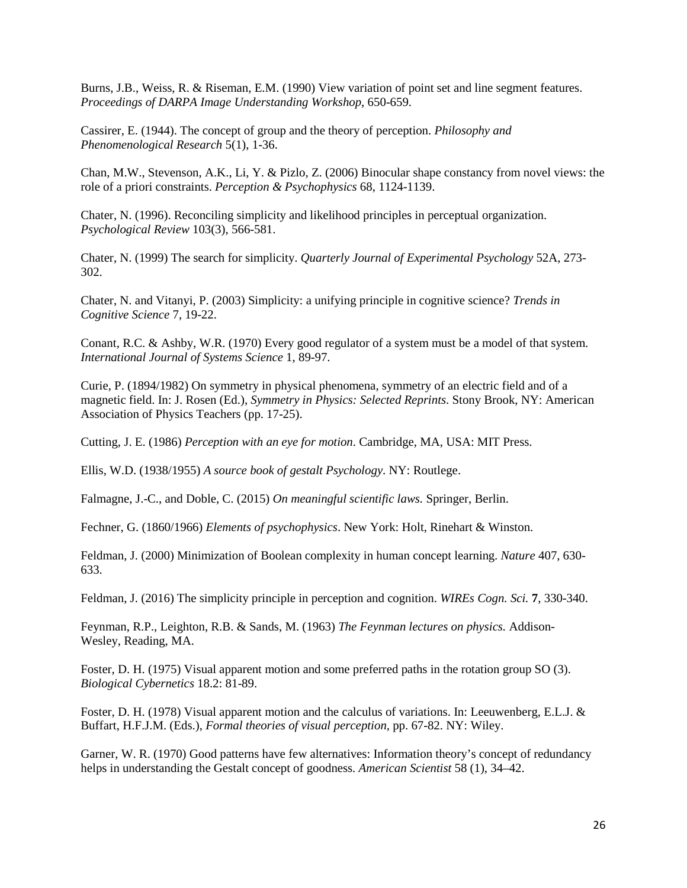Burns, J.B., Weiss, R. & Riseman, E.M. (1990) View variation of point set and line segment features. *Proceedings of DARPA Image Understanding Workshop*, 650-659.

Cassirer, E. (1944). The concept of group and the theory of perception. *Philosophy and Phenomenological Research* 5(1), 1-36.

Chan, M.W., Stevenson, A.K., Li, Y. & Pizlo, Z. (2006) Binocular shape constancy from novel views: the role of a priori constraints. *Perception & Psychophysics* 68, 1124-1139.

Chater, N. (1996). Reconciling simplicity and likelihood principles in perceptual organization. *Psychological Review* 103(3), 566-581.

Chater, N. (1999) The search for simplicity. *Quarterly Journal of Experimental Psychology* 52A, 273- 302.

Chater, N. and Vitanyi, P. (2003) Simplicity: a unifying principle in cognitive science? *Trends in Cognitive Science* 7, 19-22.

Conant, R.C. & Ashby, W.R. (1970) Every good regulator of a system must be a model of that system. *International Journal of Systems Science* 1, 89-97.

Curie, P. (1894/1982) On symmetry in physical phenomena, symmetry of an electric field and of a magnetic field. In: J. Rosen (Ed.), *Symmetry in Physics: Selected Reprints*. Stony Brook, NY: American Association of Physics Teachers (pp. 17-25).

Cutting, J. E. (1986) *Perception with an eye for motion*. Cambridge, MA, USA: MIT Press.

Ellis, W.D. (1938/1955) *A source book of gestalt Psychology*. NY: Routlege.

Falmagne, J.-C., and Doble, C. (2015) *On meaningful scientific laws.* Springer, Berlin.

Fechner, G. (1860/1966) *Elements of psychophysics*. New York: Holt, Rinehart & Winston.

Feldman, J. (2000) Minimization of Boolean complexity in human concept learning. *Nature* 407, 630- 633.

Feldman, J. (2016) The simplicity principle in perception and cognition. *WIREs Cogn. Sci.* **7**, 330-340.

Feynman, R.P., Leighton, R.B. & Sands, M. (1963) *The Feynman lectures on physics.* Addison-Wesley, Reading, MA.

Foster, D. H. (1975) Visual apparent motion and some preferred paths in the rotation group SO (3). *Biological Cybernetics* 18.2: 81-89.

Foster, D. H. (1978) Visual apparent motion and the calculus of variations. In: Leeuwenberg, E.L.J. & Buffart, H.F.J.M. (Eds.), *Formal theories of visual perception,* pp. 67-82. NY: Wiley.

Garner, W. R. (1970) Good patterns have few alternatives: Information theory's concept of redundancy helps in understanding the Gestalt concept of goodness. *American Scientist* 58 (1), 34–42.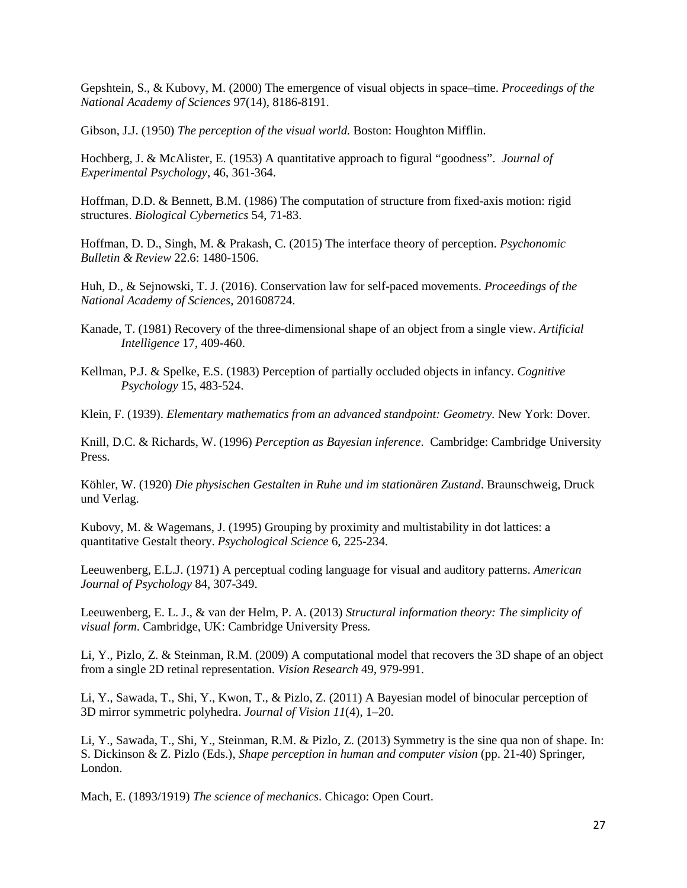Gepshtein, S., & Kubovy, M. (2000) The emergence of visual objects in space–time. *Proceedings of the National Academy of Sciences* 97(14), 8186-8191.

Gibson, J.J. (1950) *The perception of the visual world.* Boston: Houghton Mifflin.

Hochberg, J. & McAlister, E. (1953) A quantitative approach to figural "goodness". *Journal of Experimental Psychology*, 46, 361-364.

Hoffman, D.D. & Bennett, B.M. (1986) The computation of structure from fixed-axis motion: rigid structures. *Biological Cybernetics* 54, 71-83.

Hoffman, D. D., Singh, M. & Prakash, C. (2015) The interface theory of perception. *Psychonomic Bulletin & Review* 22.6: 1480-1506.

Huh, D., & Sejnowski, T. J. (2016). Conservation law for self-paced movements. *Proceedings of the National Academy of Sciences*, 201608724.

- Kanade, T. (1981) Recovery of the three-dimensional shape of an object from a single view. *Artificial Intelligence* 17, 409-460.
- Kellman, P.J. & Spelke, E.S. (1983) Perception of partially occluded objects in infancy. *Cognitive Psychology* 15, 483-524.

Klein, F. (1939). *Elementary mathematics from an advanced standpoint: Geometry.* New York: Dover.

Knill, D.C. & Richards, W. (1996) *Perception as Bayesian inference*. Cambridge: Cambridge University Press.

Köhler, W. (1920) *Die physischen Gestalten in Ruhe und im stationären Zustand*. Braunschweig, Druck und Verlag.

Kubovy, M. & Wagemans, J. (1995) Grouping by proximity and multistability in dot lattices: a quantitative Gestalt theory. *Psychological Science* 6, 225-234.

Leeuwenberg, E.L.J. (1971) A perceptual coding language for visual and auditory patterns. *American Journal of Psychology* 84, 307-349.

Leeuwenberg, E. L. J., & van der Helm, P. A. (2013) *Structural information theory: The simplicity of visual form*. Cambridge, UK: Cambridge University Press.

Li, Y., Pizlo, Z. & Steinman, R.M. (2009) A computational model that recovers the 3D shape of an object from a single 2D retinal representation. *Vision Research* 49, 979-991.

Li, Y., Sawada, T., Shi, Y., Kwon, T., & Pizlo, Z. (2011) A Bayesian model of binocular perception of 3D mirror symmetric polyhedra. *Journal of Vision 11*(4), 1–20.

Li, Y., Sawada, T., Shi, Y., Steinman, R.M. & Pizlo, Z. (2013) Symmetry is the sine qua non of shape. In: S. Dickinson & Z. Pizlo (Eds.), *Shape perception in human and computer vision* (pp. 21-40) Springer, London.

Mach, E. (1893/1919) *The science of mechanics*. Chicago: Open Court.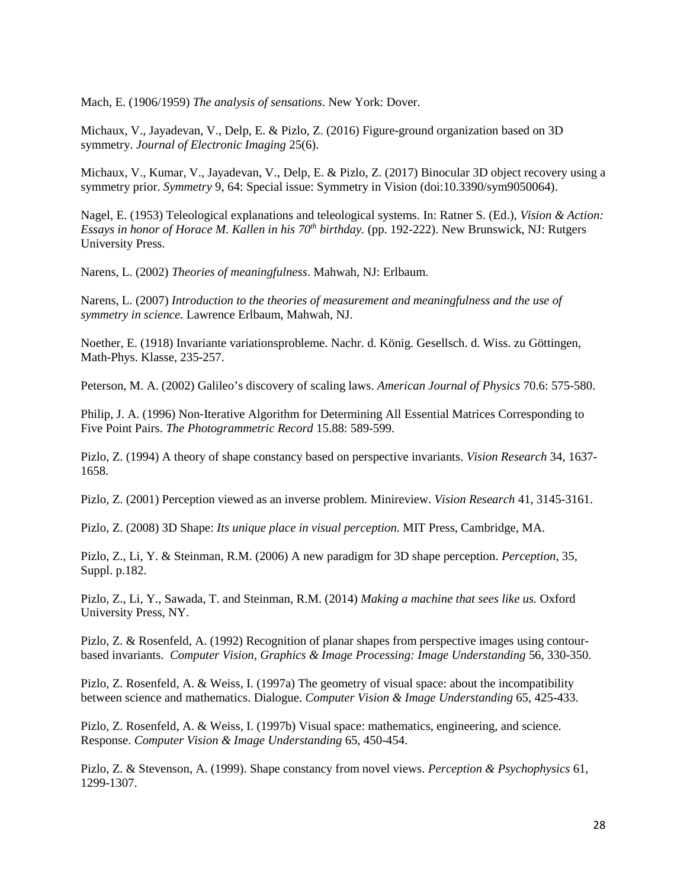Mach, E. (1906/1959) *The analysis of sensations*. New York: Dover.

Michaux, V., Jayadevan, V., Delp, E. & Pizlo, Z. (2016) Figure-ground organization based on 3D symmetry. *Journal of Electronic Imaging* 25(6).

Michaux, V., Kumar, V., Jayadevan, V., Delp, E. & Pizlo, Z. (2017) Binocular 3D object recovery using a symmetry prior. *Symmetry* 9, 64: Special issue: Symmetry in Vision (doi:10.3390/sym9050064).

Nagel, E. (1953) Teleological explanations and teleological systems. In: Ratner S. (Ed.), *Vision & Action: Essays in honor of Horace M. Kallen in his 70th birthday.* (pp. 192-222). New Brunswick, NJ: Rutgers University Press.

Narens, L. (2002) *Theories of meaningfulness*. Mahwah, NJ: Erlbaum.

Narens, L. (2007) *Introduction to the theories of measurement and meaningfulness and the use of symmetry in science.* Lawrence Erlbaum, Mahwah, NJ.

Noether, E. (1918) Invariante variationsprobleme. Nachr. d. König. Gesellsch. d. Wiss. zu Göttingen, Math-Phys. Klasse, 235-257.

Peterson, M. A. (2002) Galileo's discovery of scaling laws. *American Journal of Physics* 70.6: 575-580.

Philip, J. A. (1996) Non‐Iterative Algorithm for Determining All Essential Matrices Corresponding to Five Point Pairs. *The Photogrammetric Record* 15.88: 589-599.

Pizlo, Z. (1994) A theory of shape constancy based on perspective invariants. *Vision Research* 34, 1637- 1658.

Pizlo, Z. (2001) Perception viewed as an inverse problem. Minireview. *Vision Research* 41, 3145-3161.

Pizlo, Z. (2008) 3D Shape: *Its unique place in visual perception.* MIT Press, Cambridge, MA.

Pizlo, Z., Li, Y. & Steinman, R.M. (2006) A new paradigm for 3D shape perception. *Perception*, 35, Suppl. p.182.

Pizlo, Z., Li, Y., Sawada, T. and Steinman, R.M. (2014) *Making a machine that sees like us.* Oxford University Press, NY.

Pizlo, Z. & Rosenfeld, A. (1992) Recognition of planar shapes from perspective images using contourbased invariants. *Computer Vision, Graphics & Image Processing: Image Understanding* 56, 330-350.

Pizlo, Z. Rosenfeld, A. & Weiss, I. (1997a) The geometry of visual space: about the incompatibility between science and mathematics. Dialogue. *Computer Vision & Image Understanding* 65, 425-433.

Pizlo, Z. Rosenfeld, A. & Weiss, I. (1997b) Visual space: mathematics, engineering, and science. Response. *Computer Vision & Image Understanding* 65, 450-454.

Pizlo, Z. & Stevenson, A. (1999). Shape constancy from novel views. *Perception & Psychophysics* 61, 1299-1307.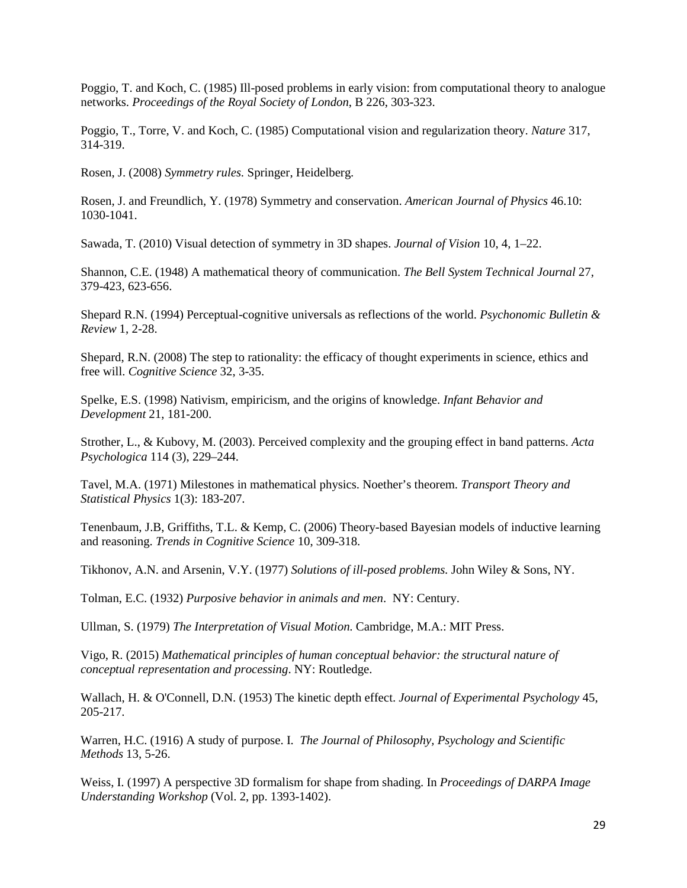Poggio, T. and Koch, C. (1985) Ill-posed problems in early vision: from computational theory to analogue networks. *Proceedings of the Royal Society of London*, B 226, 303-323.

Poggio, T., Torre, V. and Koch, C. (1985) Computational vision and regularization theory. *Nature* 317, 314-319.

Rosen, J. (2008) *Symmetry rules.* Springer, Heidelberg.

Rosen, J. and Freundlich, Y. (1978) Symmetry and conservation. *American Journal of Physics* 46.10: 1030-1041.

Sawada, T. (2010) Visual detection of symmetry in 3D shapes. *Journal of Vision* 10, 4, 1–22.

Shannon, C.E. (1948) A mathematical theory of communication. *The Bell System Technical Journal* 27, 379-423, 623-656.

Shepard R.N. (1994) Perceptual-cognitive universals as reflections of the world. *Psychonomic Bulletin & Review* 1, 2-28.

Shepard, R.N. (2008) The step to rationality: the efficacy of thought experiments in science, ethics and free will. *Cognitive Science* 32, 3-35.

Spelke, E.S. (1998) Nativism, empiricism, and the origins of knowledge. *Infant Behavior and Development* 21, 181-200.

Strother, L., & Kubovy, M. (2003). Perceived complexity and the grouping effect in band patterns. *Acta Psychologica* 114 (3), 229–244.

Tavel, M.A. (1971) Milestones in mathematical physics. Noether's theorem. *Transport Theory and Statistical Physics* 1(3): 183-207.

Tenenbaum, J.B, Griffiths, T.L. & Kemp, C. (2006) Theory-based Bayesian models of inductive learning and reasoning. *Trends in Cognitive Science* 10, 309-318.

Tikhonov, A.N. and Arsenin, V.Y. (1977) *Solutions of ill-posed problems.* John Wiley & Sons, NY.

Tolman, E.C. (1932) *Purposive behavior in animals and men*. NY: Century.

Ullman, S. (1979) *The Interpretation of Visual Motion*. Cambridge, M.A.: MIT Press.

Vigo, R. (2015) *Mathematical principles of human conceptual behavior: the structural nature of conceptual representation and processing*. NY: Routledge.

Wallach, H. & O'Connell, D.N. (1953) The kinetic depth effect. *Journal of Experimental Psychology* 45, 205-217.

Warren, H.C. (1916) A study of purpose. I. *The Journal of Philosophy, Psychology and Scientific Methods* 13, 5-26.

Weiss, I. (1997) A perspective 3D formalism for shape from shading. In *Proceedings of DARPA Image Understanding Workshop* (Vol. 2, pp. 1393-1402).